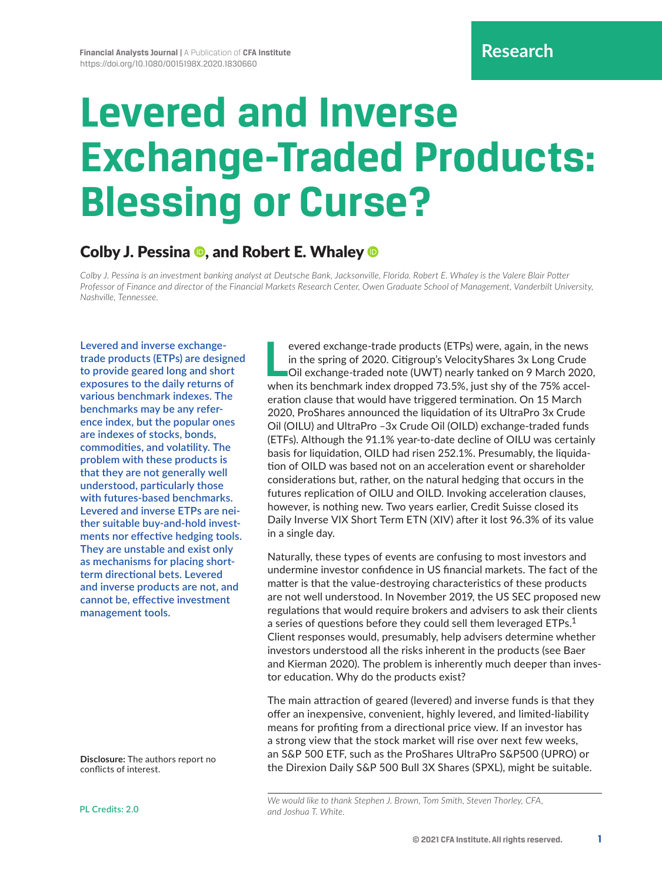# **Levered and Inverse Exchange-Traded Products: Blessing or Curse?**

# ColbyJ. Pessina  $\bullet$ , and Robert E. Whaley  $\bullet$

*Colby J. Pessina is an investment banking analyst at Deutsche Bank, Jacksonville, Florida. Robert E. Whaley is the Valere Blair Potter Professor of Finance and director of the Financial Markets Research Center, Owen Graduate School of Management, Vanderbilt University, Nashville, Tennessee.*

**Levered and inverse exchangetrade products (ETPs) are designed to provide geared long and short exposures to the daily returns of various benchmark indexes. The benchmarks may be any reference index, but the popular ones are indexes of stocks, bonds, commodities, and volatility. The problem with these products is that they are not generally well understood, particularly those with futures-based benchmarks. Levered and inverse ETPs are neither suitable buy-and-hold investments nor effective hedging tools. They are unstable and exist only as mechanisms for placing shortterm directional bets. Levered and inverse products are not, and cannot be, effective investment management tools.**

**Disclosure:** The authors report no conflicts of interest.

**Lack in the spring of 2020.** Citigroup's VelocityShares 3x Long Crude<br>
in the spring of 2020. Citigroup's VelocityShares 3x Long Crude<br>
Oil exchange-traded note (UWT) nearly tanked on 9 March 2020<br>
when its benchmark inde evered exchange-trade products (ETPs) were, again, in the news in the spring of 2020. Citigroup's VelocityShares 3x Long Crude Oil exchange-traded note (UWT) nearly tanked on 9 March 2020, eration clause that would have triggered termination. On 15 March 2020, ProShares announced the liquidation of its UltraPro 3x Crude Oil (OILU) and UltraPro –3x Crude Oil (OILD) exchange-traded funds (ETFs). Although the 91.1% year-to-date decline of OILU was certainly basis for liquidation, OILD had risen 252.1%. Presumably, the liquidation of OILD was based not on an acceleration event or shareholder considerations but, rather, on the natural hedging that occurs in the futures replication of OILU and OILD. Invoking acceleration clauses, however, is nothing new. Two years earlier, Credit Suisse closed its Daily Inverse VIX Short Term ETN (XIV) after it lost 96.3% of its value in a single day.

Naturally, these types of events are confusing to most investors and undermine investor confidence in US financial markets. The fact of the matter is that the value-destroying characteristics of these products are not well understood. In November 2019, the US SEC proposed new regulations that would require brokers and advisers to ask their clients a series of questions before they could sell them leveraged  $ETPs<sup>1</sup>$ Client responses would, presumably, help advisers determine whether investors understood all the risks inherent in the products (see Baer and Kierman 2020). The problem is inherently much deeper than investor education. Why do the products exist?

The main attraction of geared (levered) and inverse funds is that they offer an inexpensive, convenient, highly levered, and limited-liability means for profiting from a directional price view. If an investor has a strong view that the stock market will rise over next few weeks, an S&P 500 ETF, such as the ProShares UltraPro S&P500 (UPRO) or the Direxion Daily S&P 500 Bull 3X Shares (SPXL), might be suitable.

**PL Credits: 2.0**

*We would like to thank Stephen J. Brown, Tom Smith, Steven Thorley, CFA, and Joshua T. White.*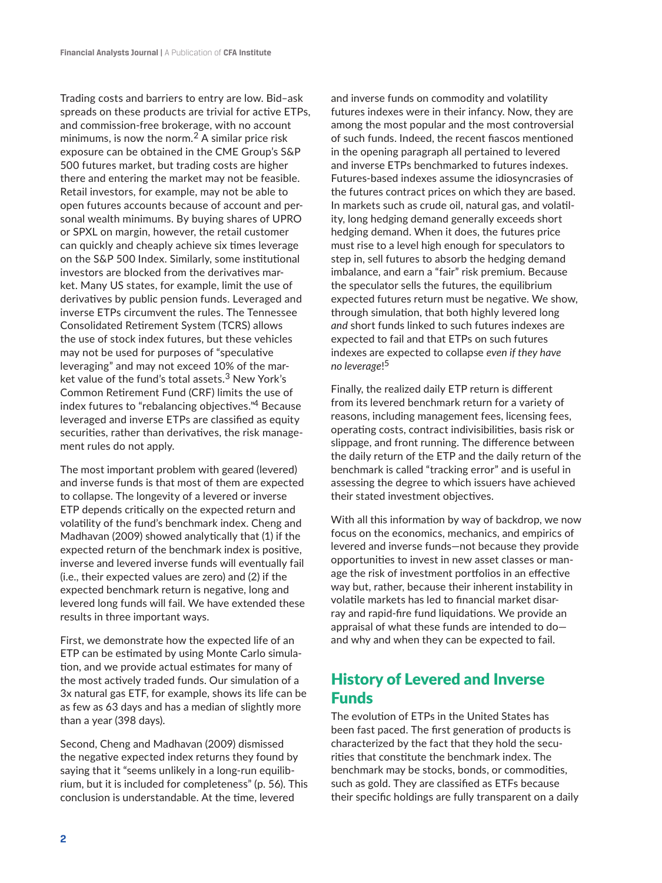Trading costs and barriers to entry are low. Bid–ask spreads on these products are trivial for active ETPs, and commission-free brokerage, with no account minimums, is now the norm.<sup>2</sup> A similar price risk exposure can be obtained in the CME Group's S&P 500 futures market, but trading costs are higher there and entering the market may not be feasible. Retail investors, for example, may not be able to open futures accounts because of account and personal wealth minimums. By buying shares of UPRO or SPXL on margin, however, the retail customer can quickly and cheaply achieve six times leverage on the S&P 500 Index. Similarly, some institutional investors are blocked from the derivatives market. Many US states, for example, limit the use of derivatives by public pension funds. Leveraged and inverse ETPs circumvent the rules. The Tennessee Consolidated Retirement System (TCRS) allows the use of stock index futures, but these vehicles may not be used for purposes of "speculative leveraging" and may not exceed 10% of the market value of the fund's total assets.<sup>3</sup> New York's Common Retirement Fund (CRF) limits the use of index futures to "rebalancing objectives."4 Because leveraged and inverse ETPs are classified as equity securities, rather than derivatives, the risk management rules do not apply.

The most important problem with geared (levered) and inverse funds is that most of them are expected to collapse. The longevity of a levered or inverse ETP depends critically on the expected return and volatility of the fund's benchmark index. Cheng and Madhavan (2009) showed analytically that (1) if the expected return of the benchmark index is positive, inverse and levered inverse funds will eventually fail (i.e., their expected values are zero) and (2) if the expected benchmark return is negative, long and levered long funds will fail. We have extended these results in three important ways.

First, we demonstrate how the expected life of an ETP can be estimated by using Monte Carlo simulation, and we provide actual estimates for many of the most actively traded funds. Our simulation of a 3x natural gas ETF, for example, shows its life can be as few as 63 days and has a median of slightly more than a year (398 days).

Second, Cheng and Madhavan (2009) dismissed the negative expected index returns they found by saying that it "seems unlikely in a long-run equilibrium, but it is included for completeness" (p. 56). This conclusion is understandable. At the time, levered

and inverse funds on commodity and volatility futures indexes were in their infancy. Now, they are among the most popular and the most controversial of such funds. Indeed, the recent fiascos mentioned in the opening paragraph all pertained to levered and inverse ETPs benchmarked to futures indexes. Futures-based indexes assume the idiosyncrasies of the futures contract prices on which they are based. In markets such as crude oil, natural gas, and volatility, long hedging demand generally exceeds short hedging demand. When it does, the futures price must rise to a level high enough for speculators to step in, sell futures to absorb the hedging demand imbalance, and earn a "fair" risk premium. Because the speculator sells the futures, the equilibrium expected futures return must be negative. We show, through simulation, that both highly levered long *and* short funds linked to such futures indexes are expected to fail and that ETPs on such futures indexes are expected to collapse *even if they have no leverage*! 5

Finally, the realized daily ETP return is different from its levered benchmark return for a variety of reasons, including management fees, licensing fees, operating costs, contract indivisibilities, basis risk or slippage, and front running. The difference between the daily return of the ETP and the daily return of the benchmark is called "tracking error" and is useful in assessing the degree to which issuers have achieved their stated investment objectives.

With all this information by way of backdrop, we now focus on the economics, mechanics, and empirics of levered and inverse funds—not because they provide opportunities to invest in new asset classes or manage the risk of investment portfolios in an effective way but, rather, because their inherent instability in volatile markets has led to financial market disarray and rapid-fire fund liquidations. We provide an appraisal of what these funds are intended to do and why and when they can be expected to fail.

# History of Levered and Inverse Funds

The evolution of ETPs in the United States has been fast paced. The first generation of products is characterized by the fact that they hold the securities that constitute the benchmark index. The benchmark may be stocks, bonds, or commodities, such as gold. They are classified as ETFs because their specific holdings are fully transparent on a daily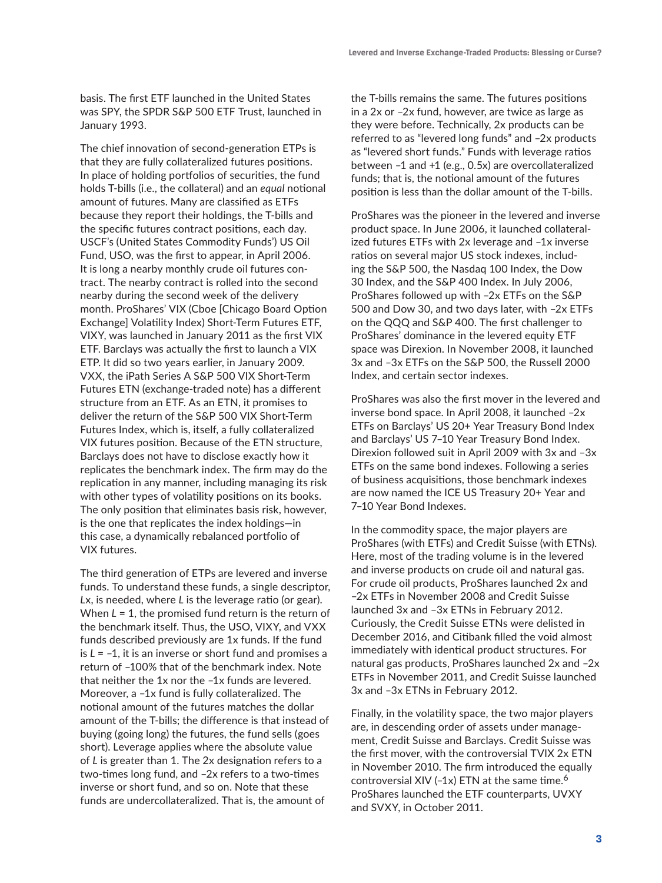basis. The first ETF launched in the United States was SPY, the SPDR S&P 500 ETF Trust, launched in January 1993.

The chief innovation of second-generation ETPs is that they are fully collateralized futures positions. In place of holding portfolios of securities, the fund holds T-bills (i.e., the collateral) and an *equal* notional amount of futures. Many are classified as ETFs because they report their holdings, the T-bills and the specific futures contract positions, each day. USCF's (United States Commodity Funds') US Oil Fund, USO, was the first to appear, in April 2006. It is long a nearby monthly crude oil futures contract. The nearby contract is rolled into the second nearby during the second week of the delivery month. ProShares' VIX (Cboe [Chicago Board Option Exchange] Volatility Index) Short-Term Futures ETF, VIXY, was launched in January 2011 as the first VIX ETF. Barclays was actually the first to launch a VIX ETP. It did so two years earlier, in January 2009. VXX, the iPath Series A S&P 500 VIX Short-Term Futures ETN (exchange-traded note) has a different structure from an ETF. As an ETN, it promises to deliver the return of the S&P 500 VIX Short-Term Futures Index, which is, itself, a fully collateralized VIX futures position. Because of the ETN structure, Barclays does not have to disclose exactly how it replicates the benchmark index. The firm may do the replication in any manner, including managing its risk with other types of volatility positions on its books. The only position that eliminates basis risk, however, is the one that replicates the index holdings—in this case, a dynamically rebalanced portfolio of VIX futures.

The third generation of ETPs are levered and inverse funds. To understand these funds, a single descriptor, *L*x, is needed, where *L* is the leverage ratio (or gear). When  $L = 1$ , the promised fund return is the return of the benchmark itself. Thus, the USO, VIXY, and VXX funds described previously are 1x funds. If the fund is *L* = –1, it is an inverse or short fund and promises a return of –100% that of the benchmark index. Note that neither the 1x nor the –1x funds are levered. Moreover, a –1x fund is fully collateralized. The notional amount of the futures matches the dollar amount of the T-bills; the difference is that instead of buying (going long) the futures, the fund sells (goes short). Leverage applies where the absolute value of *L* is greater than 1. The 2x designation refers to a two-times long fund, and –2x refers to a two-times inverse or short fund, and so on. Note that these funds are undercollateralized. That is, the amount of

the T-bills remains the same. The futures positions in a 2x or –2x fund, however, are twice as large as they were before. Technically, 2x products can be referred to as "levered long funds" and –2x products as "levered short funds." Funds with leverage ratios between –1 and +1 (e.g., 0.5x) are overcollateralized funds; that is, the notional amount of the futures position is less than the dollar amount of the T-bills.

ProShares was the pioneer in the levered and inverse product space. In June 2006, it launched collateralized futures ETFs with 2x leverage and –1x inverse ratios on several major US stock indexes, including the S&P 500, the Nasdaq 100 Index, the Dow 30 Index, and the S&P 400 Index. In July 2006, ProShares followed up with –2x ETFs on the S&P 500 and Dow 30, and two days later, with –2x ETFs on the QQQ and S&P 400. The first challenger to ProShares' dominance in the levered equity ETF space was Direxion. In November 2008, it launched 3x and –3x ETFs on the S&P 500, the Russell 2000 Index, and certain sector indexes.

ProShares was also the first mover in the levered and inverse bond space. In April 2008, it launched –2x ETFs on Barclays' US 20+ Year Treasury Bond Index and Barclays' US 7–10 Year Treasury Bond Index. Direxion followed suit in April 2009 with 3x and –3x ETFs on the same bond indexes. Following a series of business acquisitions, those benchmark indexes are now named the ICE US Treasury 20+ Year and 7–10 Year Bond Indexes.

In the commodity space, the major players are ProShares (with ETFs) and Credit Suisse (with ETNs). Here, most of the trading volume is in the levered and inverse products on crude oil and natural gas. For crude oil products, ProShares launched 2x and –2x ETFs in November 2008 and Credit Suisse launched 3x and –3x ETNs in February 2012. Curiously, the Credit Suisse ETNs were delisted in December 2016, and Citibank filled the void almost immediately with identical product structures. For natural gas products, ProShares launched 2x and –2x ETFs in November 2011, and Credit Suisse launched 3x and –3x ETNs in February 2012.

Finally, in the volatility space, the two major players are, in descending order of assets under management, Credit Suisse and Barclays. Credit Suisse was the first mover, with the controversial TVIX 2x ETN in November 2010. The firm introduced the equally controversial XIV ( $-1x$ ) ETN at the same time.<sup>6</sup> ProShares launched the ETF counterparts, UVXY and SVXY, in October 2011.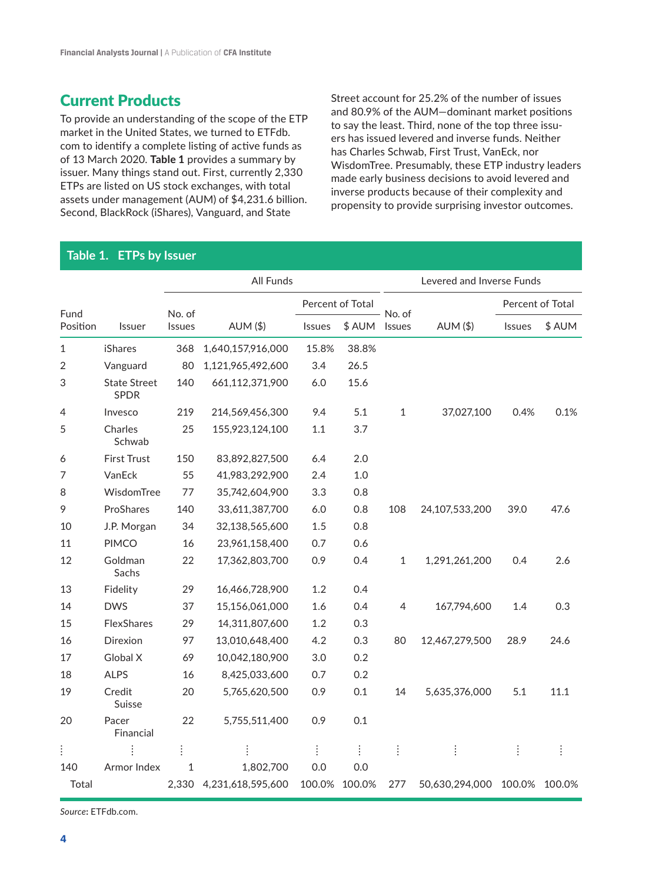# Current Products

To provide an understanding of the scope of the ETP market in the United States, we turned to ETFdb. com to identify a complete listing of active funds as of 13 March 2020. **Table 1** provides a summary by issuer. Many things stand out. First, currently 2,330 ETPs are listed on US stock exchanges, with total assets under management (AUM) of \$4,231.6 billion. Second, BlackRock (iShares), Vanguard, and State

Street account for 25.2% of the number of issues and 80.9% of the AUM—dominant market positions to say the least. Third, none of the top three issuers has issued levered and inverse funds. Neither has Charles Schwab, First Trust, VanEck, nor WisdomTree. Presumably, these ETP industry leaders made early business decisions to avoid levered and inverse products because of their complexity and propensity to provide surprising investor outcomes.

#### Fund Position Issuer All Funds Levered and Inverse Funds No. of Issues AUM (\$) Percent of Total No. of Issues AUM (\$) Issues \$ AUM Issues \$ AUM Percent of Total 1 iShares 368 1,640,157,916,000 15.8% 38.8% 2 Vanguard 80 1,121,965,492,600 3.4 26.5 3 State Street SPDR 140 661,112,371,900 6.0 15.6 4 Invesco 219 214,569,456,300 9.4 5.1 1 37,027,100 0.4% 0.1% 5 Charles Schwab 25 155,923,124,100 1.1 3.7 6 First Trust 150 83,892,827,500 6.4 2.0 7 VanEck 55 41,983,292,900 2.4 1.0 8 WisdomTree 77 35,742,604,900 3.3 0.8 9 ProShares 140 33,611,387,700 6.0 0.8 108 24,107,533,200 39.0 47.6 10 J.P. Morgan 34 32,138,565,600 1.5 0.8 11 PIMCO 16 23,961,158,400 0.7 0.6 12 Goldman Sachs 22 17,362,803,700 0.9 0.4 1 1,291,261,200 0.4 2.6 13 Fidelity 29 16,466,728,900 1.2 0.4 14 DWS 37 15,156,061,000 1.6 0.4 4 167,794,600 1.4 0.3 15 FlexShares 29 14,311,807,600 1.2 0.3 16 Direxion 97 13,010,648,400 4.2 0.3 80 12,467,279,500 28.9 24.6 17 Global X 69 10,042,180,900 3.0 0.2 18 ALPS 16 8,425,033,600 0.7 0.2 19 Credit Suisse 20 5,765,620,500 0.9 0.1 14 5,635,376,000 5.1 11.1 20 Pacer Financial 22 5,755,511,400 0.9 0.1 i voli di sebagai di sebagai di sebagai di sebagai di sebagai di sebagai di sebagai di sebagai di sebagai di s 140 Armor Index 1 1,802,700 0.0 0.0 Total 2,330 4,231,618,595,600 100.0% 100.0% 277 50,630,294,000 100.0% 100.0%

#### **Table 1. ETPs by Issuer**

*Source***:** ETFdb.com.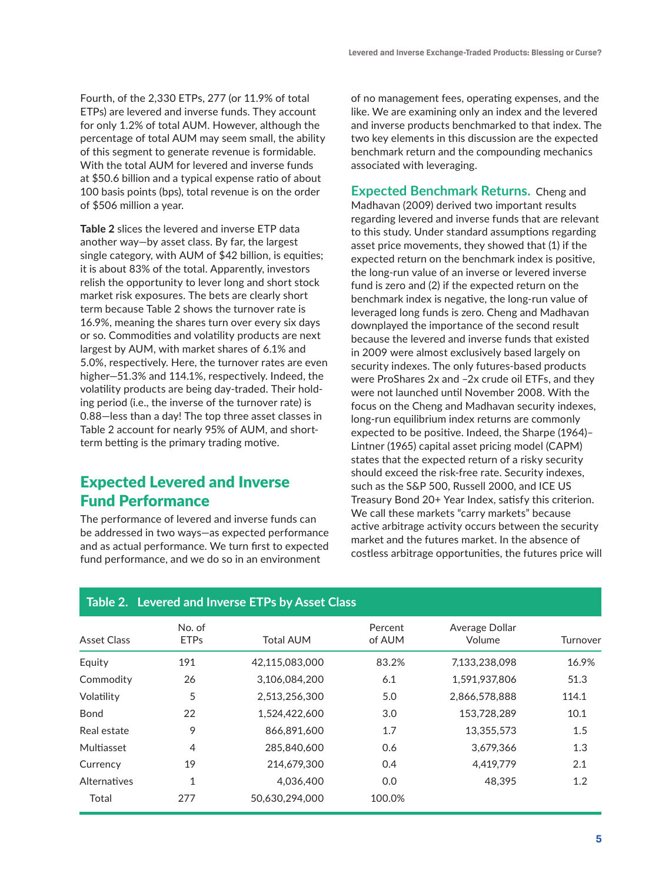Fourth, of the 2,330 ETPs, 277 (or 11.9% of total ETPs) are levered and inverse funds. They account for only 1.2% of total AUM. However, although the percentage of total AUM may seem small, the ability of this segment to generate revenue is formidable. With the total AUM for levered and inverse funds at \$50.6 billion and a typical expense ratio of about 100 basis points (bps), total revenue is on the order of \$506 million a year.

**Table 2** slices the levered and inverse ETP data another way—by asset class. By far, the largest single category, with AUM of \$42 billion, is equities; it is about 83% of the total. Apparently, investors relish the opportunity to lever long and short stock market risk exposures. The bets are clearly short term because Table 2 shows the turnover rate is 16.9%, meaning the shares turn over every six days or so. Commodities and volatility products are next largest by AUM, with market shares of 6.1% and 5.0%, respectively. Here, the turnover rates are even higher—51.3% and 114.1%, respectively. Indeed, the volatility products are being day-traded. Their holding period (i.e., the inverse of the turnover rate) is 0.88—less than a day! The top three asset classes in Table 2 account for nearly 95% of AUM, and shortterm betting is the primary trading motive.

# Expected Levered and Inverse Fund Performance

The performance of levered and inverse funds can be addressed in two ways—as expected performance and as actual performance. We turn first to expected fund performance, and we do so in an environment

of no management fees, operating expenses, and the like. We are examining only an index and the levered and inverse products benchmarked to that index. The two key elements in this discussion are the expected benchmark return and the compounding mechanics associated with leveraging.

**Expected Benchmark Returns.** Cheng and Madhavan (2009) derived two important results regarding levered and inverse funds that are relevant to this study. Under standard assumptions regarding asset price movements, they showed that (1) if the expected return on the benchmark index is positive, the long-run value of an inverse or levered inverse fund is zero and (2) if the expected return on the benchmark index is negative, the long-run value of leveraged long funds is zero. Cheng and Madhavan downplayed the importance of the second result because the levered and inverse funds that existed in 2009 were almost exclusively based largely on security indexes. The only futures-based products were ProShares 2x and –2x crude oil ETFs, and they were not launched until November 2008. With the focus on the Cheng and Madhavan security indexes, long-run equilibrium index returns are commonly expected to be positive. Indeed, the Sharpe (1964)– Lintner (1965) capital asset pricing model (CAPM) states that the expected return of a risky security should exceed the risk-free rate. Security indexes, such as the S&P 500, Russell 2000, and ICE US Treasury Bond 20+ Year Index, satisfy this criterion. We call these markets "carry markets" because active arbitrage activity occurs between the security market and the futures market. In the absence of costless arbitrage opportunities, the futures price will

#### **Table 2. Levered and Inverse ETPs by Asset Class**

| <b>Asset Class</b> | No. of<br><b>ETPs</b> | <b>Total AUM</b> | Percent<br>of AUM | Average Dollar<br>Volume | Turnover |
|--------------------|-----------------------|------------------|-------------------|--------------------------|----------|
| Equity             | 191                   | 42.115.083.000   | 83.2%             | 7.133.238.098            | 16.9%    |
| Commodity          | 26                    | 3,106,084,200    | 6.1               | 1,591,937,806            | 51.3     |
| Volatility         | 5                     | 2.513.256.300    | 5.0               | 2,866,578,888            | 114.1    |
| Bond               | 22                    | 1,524,422,600    | 3.0               | 153,728,289              | 10.1     |
| Real estate        | 9                     | 866.891.600      | 1.7               | 13,355,573               | 1.5      |
| Multiasset         | $\overline{4}$        | 285,840,600      | 0.6               | 3,679,366                | 1.3      |
| Currency           | 19                    | 214,679,300      | 0.4               | 4,419,779                | 2.1      |
| Alternatives       | 1                     | 4.036.400        | 0.0               | 48.395                   | 1.2      |
| Total              | 277                   | 50.630.294.000   | 100.0%            |                          |          |
|                    |                       |                  |                   |                          |          |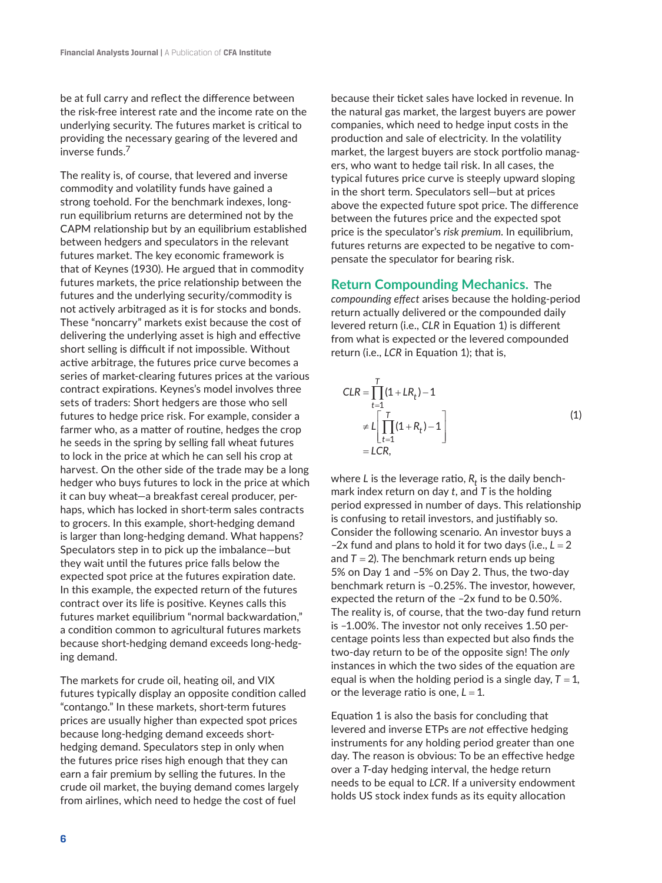be at full carry and reflect the difference between the risk-free interest rate and the income rate on the underlying security. The futures market is critical to providing the necessary gearing of the levered and inverse funds.<sup>7</sup>

The reality is, of course, that levered and inverse commodity and volatility funds have gained a strong toehold. For the benchmark indexes, longrun equilibrium returns are determined not by the CAPM relationship but by an equilibrium established between hedgers and speculators in the relevant futures market. The key economic framework is that of Keynes (1930). He argued that in commodity futures markets, the price relationship between the futures and the underlying security/commodity is not actively arbitraged as it is for stocks and bonds. These "noncarry" markets exist because the cost of delivering the underlying asset is high and effective short selling is difficult if not impossible. Without active arbitrage, the futures price curve becomes a series of market-clearing futures prices at the various contract expirations. Keynes's model involves three sets of traders: Short hedgers are those who sell futures to hedge price risk. For example, consider a farmer who, as a matter of routine, hedges the crop he seeds in the spring by selling fall wheat futures to lock in the price at which he can sell his crop at harvest. On the other side of the trade may be a long hedger who buys futures to lock in the price at which it can buy wheat—a breakfast cereal producer, perhaps, which has locked in short-term sales contracts to grocers. In this example, short-hedging demand is larger than long-hedging demand. What happens? Speculators step in to pick up the imbalance—but they wait until the futures price falls below the expected spot price at the futures expiration date. In this example, the expected return of the futures contract over its life is positive. Keynes calls this futures market equilibrium "normal backwardation," a condition common to agricultural futures markets because short-hedging demand exceeds long-hedging demand.

The markets for crude oil, heating oil, and VIX futures typically display an opposite condition called "contango." In these markets, short-term futures prices are usually higher than expected spot prices because long-hedging demand exceeds shorthedging demand. Speculators step in only when the futures price rises high enough that they can earn a fair premium by selling the futures. In the crude oil market, the buying demand comes largely from airlines, which need to hedge the cost of fuel

because their ticket sales have locked in revenue. In the natural gas market, the largest buyers are power companies, which need to hedge input costs in the production and sale of electricity. In the volatility market, the largest buyers are stock portfolio managers, who want to hedge tail risk. In all cases, the typical futures price curve is steeply upward sloping in the short term. Speculators sell—but at prices above the expected future spot price. The difference between the futures price and the expected spot price is the speculator's *risk premium*. In equilibrium, futures returns are expected to be negative to compensate the speculator for bearing risk.

**Return Compounding Mechanics.** The *compounding effect* arises because the holding-period return actually delivered or the compounded daily levered return (i.e., *CLR* in Equation 1) is different from what is expected or the levered compounded return (i.e., *LCR* in Equation 1); that is,

$$
CLR = \prod_{t=1}^{T} (1 + LR_t) - 1
$$
  
\n
$$
\neq L \left[ \prod_{t=1}^{T} (1 + R_t) - 1 \right]
$$
  
\n
$$
= LCR,
$$
\n(1)

where *L* is the leverage ratio,  $R^{\phantom{\dagger}}_t$  is the daily benchmark index return on day *t*, and *T* is the holding period expressed in number of days. This relationship is confusing to retail investors, and justifiably so. Consider the following scenario. An investor buys a  $-2x$  fund and plans to hold it for two days (i.e.,  $L = 2$ and  $T = 2$ ). The benchmark return ends up being 5% on Day 1 and –5% on Day 2. Thus, the two-day benchmark return is –0.25%. The investor, however, expected the return of the –2x fund to be 0.50%. The reality is, of course, that the two-day fund return is –1.00%. The investor not only receives 1.50 percentage points less than expected but also finds the two-day return to be of the opposite sign! The *only* instances in which the two sides of the equation are equal is when the holding period is a single day,  $T = 1$ , or the leverage ratio is one,  $L = 1$ .

Equation 1 is also the basis for concluding that levered and inverse ETPs are *not* effective hedging instruments for any holding period greater than one day. The reason is obvious: To be an effective hedge over a *T*-day hedging interval, the hedge return needs to be equal to *LCR*. If a university endowment holds US stock index funds as its equity allocation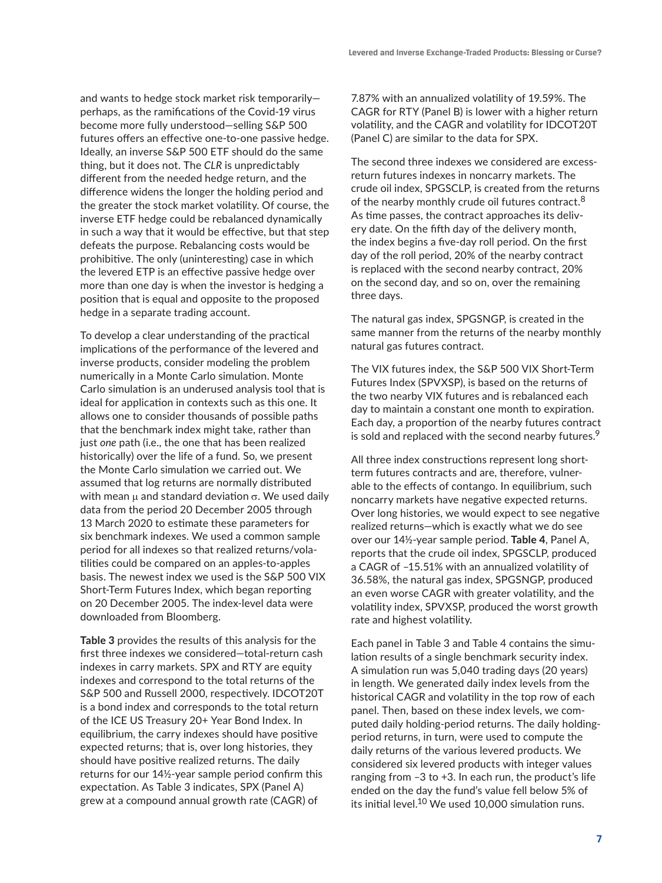and wants to hedge stock market risk temporarily perhaps, as the ramifications of the Covid-19 virus become more fully understood—selling S&P 500 futures offers an effective one-to-one passive hedge. Ideally, an inverse S&P 500 ETF should do the same thing, but it does not. The *CLR* is unpredictably different from the needed hedge return, and the difference widens the longer the holding period and the greater the stock market volatility. Of course, the inverse ETF hedge could be rebalanced dynamically in such a way that it would be effective, but that step defeats the purpose. Rebalancing costs would be prohibitive. The only (uninteresting) case in which the levered ETP is an effective passive hedge over more than one day is when the investor is hedging a position that is equal and opposite to the proposed hedge in a separate trading account.

To develop a clear understanding of the practical implications of the performance of the levered and inverse products, consider modeling the problem numerically in a Monte Carlo simulation. Monte Carlo simulation is an underused analysis tool that is ideal for application in contexts such as this one. It allows one to consider thousands of possible paths that the benchmark index might take, rather than just *one* path (i.e., the one that has been realized historically) over the life of a fund. So, we present the Monte Carlo simulation we carried out. We assumed that log returns are normally distributed with mean  $\mu$  and standard deviation σ. We used daily data from the period 20 December 2005 through 13 March 2020 to estimate these parameters for six benchmark indexes. We used a common sample period for all indexes so that realized returns/volatilities could be compared on an apples-to-apples basis. The newest index we used is the S&P 500 VIX Short-Term Futures Index, which began reporting on 20 December 2005. The index-level data were downloaded from Bloomberg.

**Table 3** provides the results of this analysis for the first three indexes we considered—total-return cash indexes in carry markets. SPX and RTY are equity indexes and correspond to the total returns of the S&P 500 and Russell 2000, respectively. IDCOT20T is a bond index and corresponds to the total return of the ICE US Treasury 20+ Year Bond Index. In equilibrium, the carry indexes should have positive expected returns; that is, over long histories, they should have positive realized returns. The daily returns for our 14½-year sample period confirm this expectation. As Table 3 indicates, SPX (Panel A) grew at a compound annual growth rate (CAGR) of

7.87% with an annualized volatility of 19.59%. The CAGR for RTY (Panel B) is lower with a higher return volatility, and the CAGR and volatility for IDCOT20T (Panel C) are similar to the data for SPX.

The second three indexes we considered are excessreturn futures indexes in noncarry markets. The crude oil index, SPGSCLP, is created from the returns of the nearby monthly crude oil futures contract.<sup>8</sup> As time passes, the contract approaches its delivery date. On the fifth day of the delivery month, the index begins a five-day roll period. On the first day of the roll period, 20% of the nearby contract is replaced with the second nearby contract, 20% on the second day, and so on, over the remaining three days.

The natural gas index, SPGSNGP, is created in the same manner from the returns of the nearby monthly natural gas futures contract.

The VIX futures index, the S&P 500 VIX Short-Term Futures Index (SPVXSP), is based on the returns of the two nearby VIX futures and is rebalanced each day to maintain a constant one month to expiration. Each day, a proportion of the nearby futures contract is sold and replaced with the second nearby futures.<sup>9</sup>

All three index constructions represent long shortterm futures contracts and are, therefore, vulnerable to the effects of contango. In equilibrium, such noncarry markets have negative expected returns. Over long histories, we would expect to see negative realized returns—which is exactly what we do see over our 14½-year sample period. **Table 4**, Panel A, reports that the crude oil index, SPGSCLP, produced a CAGR of –15.51% with an annualized volatility of 36.58%, the natural gas index, SPGSNGP, produced an even worse CAGR with greater volatility, and the volatility index, SPVXSP, produced the worst growth rate and highest volatility.

Each panel in Table 3 and Table 4 contains the simulation results of a single benchmark security index. A simulation run was 5,040 trading days (20 years) in length. We generated daily index levels from the historical CAGR and volatility in the top row of each panel. Then, based on these index levels, we computed daily holding-period returns. The daily holdingperiod returns, in turn, were used to compute the daily returns of the various levered products. We considered six levered products with integer values ranging from –3 to +3. In each run, the product's life ended on the day the fund's value fell below 5% of its initial level.<sup>10</sup> We used 10,000 simulation runs.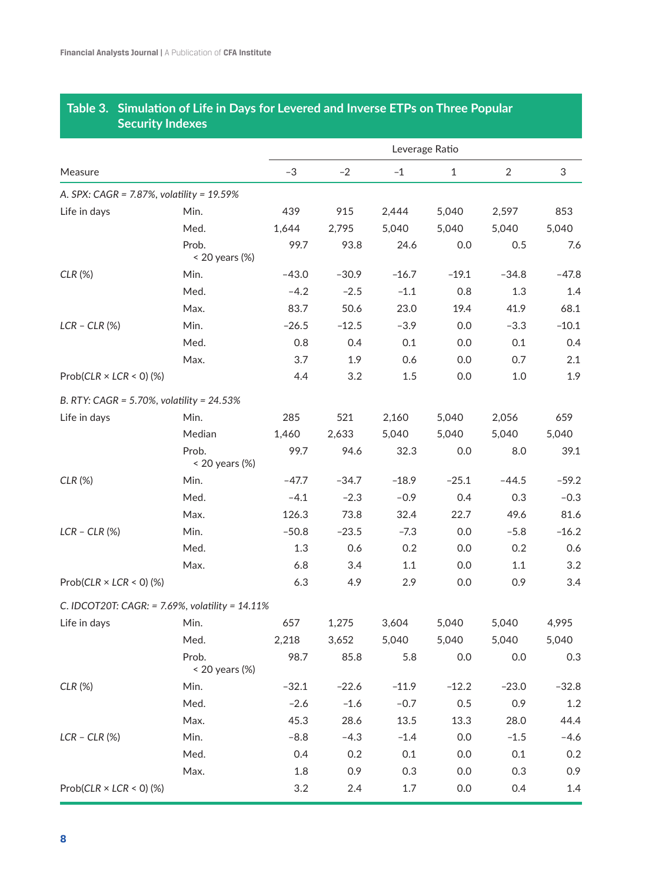|                                           | <i>.</i><br><b>Security Indexes</b>                |         |         |         |                |                |         |
|-------------------------------------------|----------------------------------------------------|---------|---------|---------|----------------|----------------|---------|
|                                           |                                                    |         |         |         | Leverage Ratio |                |         |
| Measure                                   |                                                    | $-3$    | $-2$    | $-1$    | $1\,$          | $\overline{2}$ | 3       |
| A. SPX: CAGR = 7.87%, volatility = 19.59% |                                                    |         |         |         |                |                |         |
| Life in days                              | Min.                                               | 439     | 915     | 2,444   | 5,040          | 2,597          | 853     |
|                                           | Med.                                               | 1,644   | 2,795   | 5,040   | 5,040          | 5,040          | 5,040   |
|                                           | Prob.<br>< 20 years (%)                            | 99.7    | 93.8    | 24.6    | 0.0            | 0.5            | 7.6     |
| $CLR$ $(\%)$                              | Min.                                               | $-43.0$ | $-30.9$ | $-16.7$ | $-19.1$        | $-34.8$        | $-47.8$ |
|                                           | Med.                                               | $-4.2$  | $-2.5$  | $-1.1$  | 0.8            | 1.3            | $1.4\,$ |
|                                           | Max.                                               | 83.7    | 50.6    | 23.0    | 19.4           | 41.9           | 68.1    |
| $LCR - CLR$ (%)                           | Min.                                               | $-26.5$ | $-12.5$ | $-3.9$  | 0.0            | $-3.3$         | $-10.1$ |
|                                           | Med.                                               | 0.8     | 0.4     | 0.1     | 0.0            | 0.1            | 0.4     |
|                                           | Max.                                               | 3.7     | 1.9     | 0.6     | 0.0            | 0.7            | 2.1     |
| $Prob(CLR \times LCR < 0)$ (%)            |                                                    | 4.4     | 3.2     | 1.5     | 0.0            | $1.0$          | 1.9     |
| B. RTY: CAGR = 5.70%, volatility = 24.53% |                                                    |         |         |         |                |                |         |
| Life in days                              | Min.                                               | 285     | 521     | 2,160   | 5,040          | 2,056          | 659     |
|                                           | Median                                             | 1,460   | 2,633   | 5,040   | 5,040          | 5,040          | 5,040   |
|                                           | Prob.<br>< 20 years (%)                            | 99.7    | 94.6    | 32.3    | 0.0            | 8.0            | 39.1    |
| $CLR$ $(\%)$                              | Min.                                               | $-47.7$ | $-34.7$ | $-18.9$ | $-25.1$        | $-44.5$        | $-59.2$ |
|                                           | Med.                                               | $-4.1$  | $-2.3$  | $-0.9$  | 0.4            | 0.3            | $-0.3$  |
|                                           | Max.                                               | 126.3   | 73.8    | 32.4    | 22.7           | 49.6           | 81.6    |
| $LCR - CLR$ (%)                           | Min.                                               | $-50.8$ | $-23.5$ | $-7.3$  | 0.0            | $-5.8$         | $-16.2$ |
|                                           | Med.                                               | 1.3     | 0.6     | 0.2     | 0.0            | 0.2            | 0.6     |
|                                           | Max.                                               | 6.8     | 3.4     | 1.1     | 0.0            | 1.1            | 3.2     |
| $Prob(CLR \times LCR < 0)$ (%)            |                                                    | 6.3     | 4.9     | 2.9     | 0.0            | 0.9            | 3.4     |
|                                           | C. IDCOT20T: CAGR: = 7.69%, volatility = $14.11\%$ |         |         |         |                |                |         |
| Life in days                              | Min.                                               | 657     | 1,275   | 3,604   | 5,040          | 5,040          | 4,995   |
|                                           | Med.                                               | 2,218   | 3,652   | 5,040   | 5,040          | 5,040          | 5,040   |
|                                           | Prob.<br>< 20 years (%)                            | 98.7    | 85.8    | 5.8     | 0.0            | 0.0            | 0.3     |
| $CLR$ $(\%)$                              | Min.                                               | $-32.1$ | $-22.6$ | $-11.9$ | $-12.2$        | $-23.0$        | $-32.8$ |
|                                           | Med.                                               | $-2.6$  | $-1.6$  | $-0.7$  | 0.5            | 0.9            | 1.2     |
|                                           | Max.                                               | 45.3    | 28.6    | 13.5    | 13.3           | 28.0           | 44.4    |
| $LCR - CLR$ (%)                           | Min.                                               | $-8.8$  | $-4.3$  | $-1.4$  | 0.0            | $-1.5$         | $-4.6$  |
|                                           | Med.                                               | 0.4     | 0.2     | 0.1     | 0.0            | 0.1            | $0.2\,$ |
|                                           | Max.                                               | 1.8     | 0.9     | 0.3     | 0.0            | 0.3            | 0.9     |
| $Prob(CLR \times LCR < 0)$ (%)            |                                                    | 3.2     | 2.4     | 1.7     | 0.0            | 0.4            | $1.4$   |

# **Table 3. Simulation of Life in Days for Levered and Inverse ETPs on Three Popular**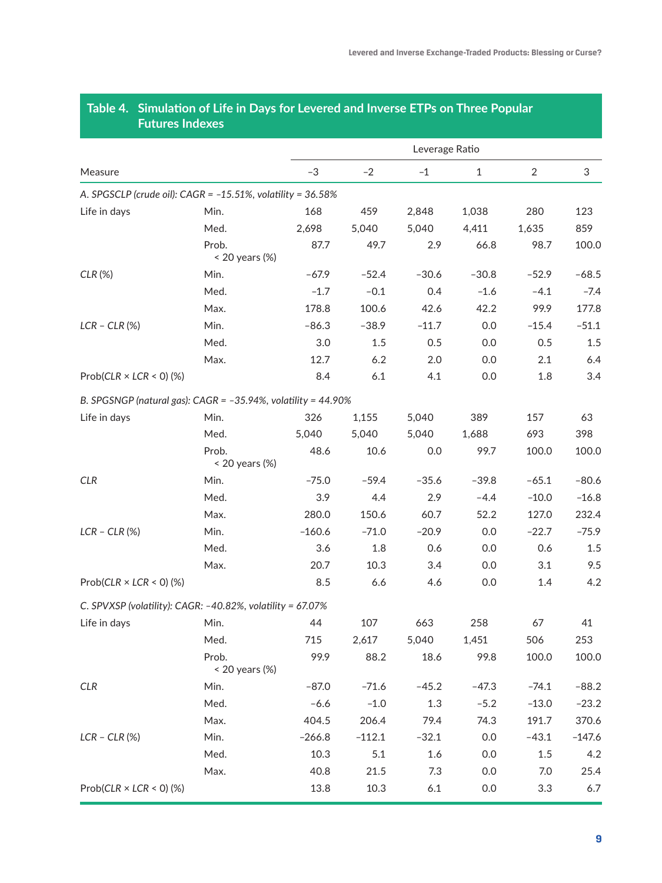|                                                                   |                         |          |          | Leverage Ratio |              |                |          |
|-------------------------------------------------------------------|-------------------------|----------|----------|----------------|--------------|----------------|----------|
| Measure                                                           |                         | $-3$     | $-2$     | $-1$           | $\mathbf{1}$ | $\overline{2}$ | 3        |
| A. SPGSCLP (crude oil): CAGR = -15.51%, volatility = 36.58%       |                         |          |          |                |              |                |          |
| Life in days                                                      | Min.                    | 168      | 459      | 2,848          | 1,038        | 280            | 123      |
|                                                                   | Med.                    | 2,698    | 5,040    | 5,040          | 4,411        | 1,635          | 859      |
|                                                                   | Prob.<br>< 20 years (%) | 87.7     | 49.7     | 2.9            | 66.8         | 98.7           | 100.0    |
| $CLR$ $(\%)$                                                      | Min.                    | $-67.9$  | $-52.4$  | $-30.6$        | $-30.8$      | $-52.9$        | $-68.5$  |
|                                                                   | Med.                    | $-1.7$   | $-0.1$   | 0.4            | $-1.6$       | $-4.1$         | $-7.4$   |
|                                                                   | Max.                    | 178.8    | 100.6    | 42.6           | 42.2         | 99.9           | 177.8    |
| $LCR - CLR$ (%)                                                   | Min.                    | $-86.3$  | $-38.9$  | $-11.7$        | 0.0          | $-15.4$        | $-51.1$  |
|                                                                   | Med.                    | 3.0      | 1.5      | 0.5            | 0.0          | 0.5            | 1.5      |
|                                                                   | Max.                    | 12.7     | 6.2      | 2.0            | 0.0          | 2.1            | 6.4      |
| $Prob(CLR \times LCR < 0)$ (%)                                    |                         | 8.4      | 6.1      | 4.1            | 0.0          | 1.8            | 3.4      |
| B. SPGSNGP (natural gas): $CAGR = -35.94\%$ , volatility = 44.90% |                         |          |          |                |              |                |          |
| Life in days                                                      | Min.                    | 326      | 1,155    | 5,040          | 389          | 157            | 63       |
|                                                                   | Med.                    | 5,040    | 5,040    | 5,040          | 1,688        | 693            | 398      |
|                                                                   | Prob.<br>< 20 years (%) | 48.6     | 10.6     | 0.0            | 99.7         | 100.0          | 100.0    |
| <b>CLR</b>                                                        | Min.                    | $-75.0$  | $-59.4$  | $-35.6$        | $-39.8$      | $-65.1$        | $-80.6$  |
|                                                                   | Med.                    | 3.9      | 4.4      | 2.9            | $-4.4$       | $-10.0$        | $-16.8$  |
|                                                                   | Max.                    | 280.0    | 150.6    | 60.7           | 52.2         | 127.0          | 232.4    |
| $LCR - CLR$ (%)                                                   | Min.                    | $-160.6$ | $-71.0$  | $-20.9$        | 0.0          | $-22.7$        | $-75.9$  |
|                                                                   | Med.                    | 3.6      | 1.8      | 0.6            | 0.0          | 0.6            | 1.5      |
|                                                                   | Max.                    | 20.7     | 10.3     | 3.4            | 0.0          | 3.1            | 9.5      |
| $Prob(CLR \times LCR \le 0)$ (%)                                  |                         | 8.5      | 6.6      | 4.6            | 0.0          | 1.4            | 4.2      |
| C. SPVXSP (volatility): CAGR: $-40.82\%$ , volatility = 67.07%    |                         |          |          |                |              |                |          |
| Life in days                                                      | Min.                    | 44       | 107      | 663            | 258          | 67             | 41       |
|                                                                   | Med.                    | 715      | 2,617    | 5,040          | 1,451        | 506            | 253      |
|                                                                   | Prob.<br>< 20 years (%) | 99.9     | 88.2     | 18.6           | 99.8         | 100.0          | 100.0    |
| <b>CLR</b>                                                        | Min.                    | $-87.0$  | $-71.6$  | $-45.2$        | $-47.3$      | $-74.1$        | $-88.2$  |
|                                                                   | Med.                    | $-6.6$   | $-1.0$   | 1.3            | $-5.2$       | $-13.0$        | $-23.2$  |
|                                                                   | Max.                    | 404.5    | 206.4    | 79.4           | 74.3         | 191.7          | 370.6    |
| $LCR - CLR$ (%)                                                   | Min.                    | $-266.8$ | $-112.1$ | $-32.1$        | 0.0          | $-43.1$        | $-147.6$ |
|                                                                   | Med.                    | 10.3     | 5.1      | 1.6            | 0.0          | 1.5            | 4.2      |
|                                                                   | Max.                    | 40.8     | 21.5     | 7.3            | 0.0          | 7.0            | 25.4     |
| $Prob(CLR \times LCR < 0)$ (%)                                    |                         | 13.8     | $10.3$   | 6.1            | 0.0          | 3.3            | 6.7      |

# **Table 4. Simulation of Life in Days for Levered and Inverse ETPs on Three Popular Futures Indexes**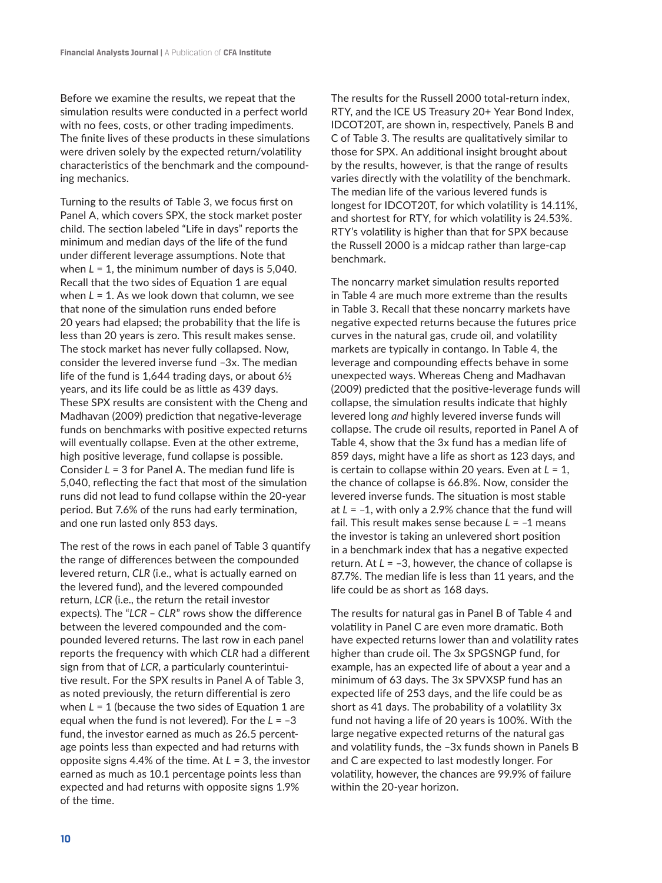Before we examine the results, we repeat that the simulation results were conducted in a perfect world with no fees, costs, or other trading impediments. The finite lives of these products in these simulations were driven solely by the expected return/volatility characteristics of the benchmark and the compounding mechanics.

Turning to the results of Table 3, we focus first on Panel A, which covers SPX, the stock market poster child. The section labeled "Life in days" reports the minimum and median days of the life of the fund under different leverage assumptions. Note that when *L* = 1, the minimum number of days is 5,040. Recall that the two sides of Equation 1 are equal when *L* = 1. As we look down that column, we see that none of the simulation runs ended before 20 years had elapsed; the probability that the life is less than 20 years is zero. This result makes sense. The stock market has never fully collapsed. Now, consider the levered inverse fund –3x. The median life of the fund is 1,644 trading days, or about  $6\frac{1}{2}$ years, and its life could be as little as 439 days. These SPX results are consistent with the Cheng and Madhavan (2009) prediction that negative-leverage funds on benchmarks with positive expected returns will eventually collapse. Even at the other extreme, high positive leverage, fund collapse is possible. Consider *L* = 3 for Panel A. The median fund life is 5,040, reflecting the fact that most of the simulation runs did not lead to fund collapse within the 20-year period. But 7.6% of the runs had early termination, and one run lasted only 853 days.

The rest of the rows in each panel of Table 3 quantify the range of differences between the compounded levered return, *CLR* (i.e., what is actually earned on the levered fund), and the levered compounded return, *LCR* (i.e., the return the retail investor expects). The "*LCR* – *CLR*" rows show the difference between the levered compounded and the compounded levered returns. The last row in each panel reports the frequency with which *CLR* had a different sign from that of *LCR*, a particularly counterintuitive result. For the SPX results in Panel A of Table 3, as noted previously, the return differential is zero when *L* = 1 (because the two sides of Equation 1 are equal when the fund is not levered). For the *L* = –3 fund, the investor earned as much as 26.5 percentage points less than expected and had returns with opposite signs 4.4% of the time. At *L* = 3, the investor earned as much as 10.1 percentage points less than expected and had returns with opposite signs 1.9% of the time.

The results for the Russell 2000 total-return index, RTY, and the ICE US Treasury 20+ Year Bond Index, IDCOT20T, are shown in, respectively, Panels B and C of Table 3. The results are qualitatively similar to those for SPX. An additional insight brought about by the results, however, is that the range of results varies directly with the volatility of the benchmark. The median life of the various levered funds is longest for IDCOT20T, for which volatility is 14.11%, and shortest for RTY, for which volatility is 24.53%. RTY's volatility is higher than that for SPX because the Russell 2000 is a midcap rather than large-cap benchmark.

The noncarry market simulation results reported in Table 4 are much more extreme than the results in Table 3. Recall that these noncarry markets have negative expected returns because the futures price curves in the natural gas, crude oil, and volatility markets are typically in contango. In Table 4, the leverage and compounding effects behave in some unexpected ways. Whereas Cheng and Madhavan (2009) predicted that the positive-leverage funds will collapse, the simulation results indicate that highly levered long *and* highly levered inverse funds will collapse. The crude oil results, reported in Panel A of Table 4, show that the 3x fund has a median life of 859 days, might have a life as short as 123 days, and is certain to collapse within 20 years. Even at *L* = 1, the chance of collapse is 66.8%. Now, consider the levered inverse funds. The situation is most stable at *L* = –1, with only a 2.9% chance that the fund will fail. This result makes sense because *L* = –1 means the investor is taking an unlevered short position in a benchmark index that has a negative expected return. At *L* = –3, however, the chance of collapse is 87.7%. The median life is less than 11 years, and the life could be as short as 168 days.

The results for natural gas in Panel B of Table 4 and volatility in Panel C are even more dramatic. Both have expected returns lower than and volatility rates higher than crude oil. The 3x SPGSNGP fund, for example, has an expected life of about a year and a minimum of 63 days. The 3x SPVXSP fund has an expected life of 253 days, and the life could be as short as 41 days. The probability of a volatility 3x fund not having a life of 20 years is 100%. With the large negative expected returns of the natural gas and volatility funds, the –3x funds shown in Panels B and C are expected to last modestly longer. For volatility, however, the chances are 99.9% of failure within the 20-year horizon.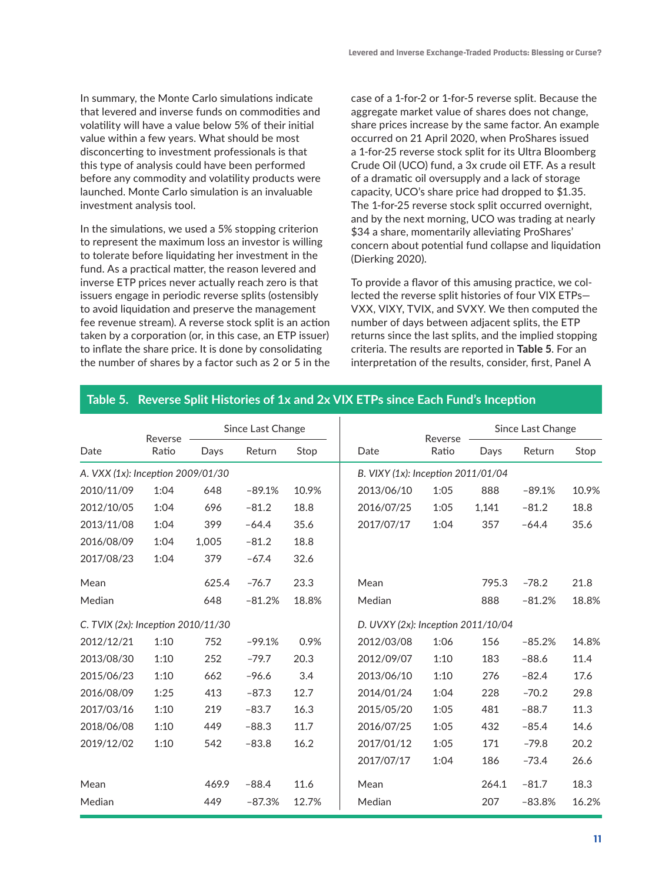In summary, the Monte Carlo simulations indicate that levered and inverse funds on commodities and volatility will have a value below 5% of their initial value within a few years. What should be most disconcerting to investment professionals is that this type of analysis could have been performed before any commodity and volatility products were launched. Monte Carlo simulation is an invaluable investment analysis tool.

In the simulations, we used a 5% stopping criterion to represent the maximum loss an investor is willing to tolerate before liquidating her investment in the fund. As a practical matter, the reason levered and inverse ETP prices never actually reach zero is that issuers engage in periodic reverse splits (ostensibly to avoid liquidation and preserve the management fee revenue stream). A reverse stock split is an action taken by a corporation (or, in this case, an ETP issuer) to inflate the share price. It is done by consolidating the number of shares by a factor such as 2 or 5 in the case of a 1-for-2 or 1-for-5 reverse split. Because the aggregate market value of shares does not change, share prices increase by the same factor. An example occurred on 21 April 2020, when ProShares issued a 1-for-25 reverse stock split for its Ultra Bloomberg Crude Oil (UCO) fund, a 3x crude oil ETF. As a result of a dramatic oil oversupply and a lack of storage capacity, UCO's share price had dropped to \$1.35. The 1-for-25 reverse stock split occurred overnight, and by the next morning, UCO was trading at nearly \$34 a share, momentarily alleviating ProShares' concern about potential fund collapse and liquidation (Dierking 2020).

To provide a flavor of this amusing practice, we collected the reverse split histories of four VIX ETPs— VXX, VIXY, TVIX, and SVXY. We then computed the number of days between adjacent splits, the ETP returns since the last splits, and the implied stopping criteria. The results are reported in **Table 5**. For an interpretation of the results, consider, first, Panel A

| Reverse                            |       |       | Since Last Change |       |                                    | Reverse | Since Last Change |          |       |
|------------------------------------|-------|-------|-------------------|-------|------------------------------------|---------|-------------------|----------|-------|
| Date                               | Ratio | Days  | Return            | Stop  | Date                               | Ratio   | Days              | Return   | Stop  |
| A. VXX (1x): Inception 2009/01/30  |       |       |                   |       | B. VIXY (1x): Inception 2011/01/04 |         |                   |          |       |
| 2010/11/09                         | 1:04  | 648   | $-89.1%$          | 10.9% | 2013/06/10                         | 1:05    | 888               | $-89.1%$ | 10.9% |
| 2012/10/05                         | 1:04  | 696   | $-81.2$           | 18.8  | 2016/07/25                         | 1:05    | 1,141             | $-81.2$  | 18.8  |
| 2013/11/08                         | 1:04  | 399   | $-64.4$           | 35.6  | 2017/07/17                         | 1:04    | 357               | $-64.4$  | 35.6  |
| 2016/08/09                         | 1:04  | 1,005 | $-81.2$           | 18.8  |                                    |         |                   |          |       |
| 2017/08/23                         | 1:04  | 379   | $-67.4$           | 32.6  |                                    |         |                   |          |       |
| Mean                               |       | 625.4 | $-76.7$           | 23.3  | Mean                               |         | 795.3             | $-78.2$  | 21.8  |
| Median                             |       | 648   | $-81.2%$          | 18.8% | Median                             |         | 888               | $-81.2%$ | 18.8% |
| C. TVIX (2x): Inception 2010/11/30 |       |       |                   |       | D. UVXY (2x): Inception 2011/10/04 |         |                   |          |       |
| 2012/12/21                         | 1:10  | 752   | $-99.1%$          | 0.9%  | 2012/03/08                         | 1:06    | 156               | $-85.2%$ | 14.8% |
| 2013/08/30                         | 1:10  | 252   | $-79.7$           | 20.3  | 2012/09/07                         | 1:10    | 183               | $-88.6$  | 11.4  |
| 2015/06/23                         | 1:10  | 662   | $-96.6$           | 3.4   | 2013/06/10                         | 1:10    | 276               | $-82.4$  | 17.6  |
| 2016/08/09                         | 1:25  | 413   | $-87.3$           | 12.7  | 2014/01/24                         | 1:04    | 228               | $-70.2$  | 29.8  |
| 2017/03/16                         | 1:10  | 219   | $-83.7$           | 16.3  | 2015/05/20                         | 1:05    | 481               | $-88.7$  | 11.3  |
| 2018/06/08                         | 1:10  | 449   | $-88.3$           | 11.7  | 2016/07/25                         | 1:05    | 432               | $-85.4$  | 14.6  |
| 2019/12/02                         | 1:10  | 542   | $-83.8$           | 16.2  | 2017/01/12                         | 1:05    | 171               | $-79.8$  | 20.2  |
|                                    |       |       |                   |       | 2017/07/17                         | 1:04    | 186               | $-73.4$  | 26.6  |
| Mean                               |       | 469.9 | $-88.4$           | 11.6  | Mean                               |         | 264.1             | $-81.7$  | 18.3  |
| Median                             |       | 449   | $-87.3%$          | 12.7% | Median                             |         | 207               | $-83.8%$ | 16.2% |

#### **Table 5. Reverse Split Histories of 1x and 2x VIX ETPs since Each Fund's Inception**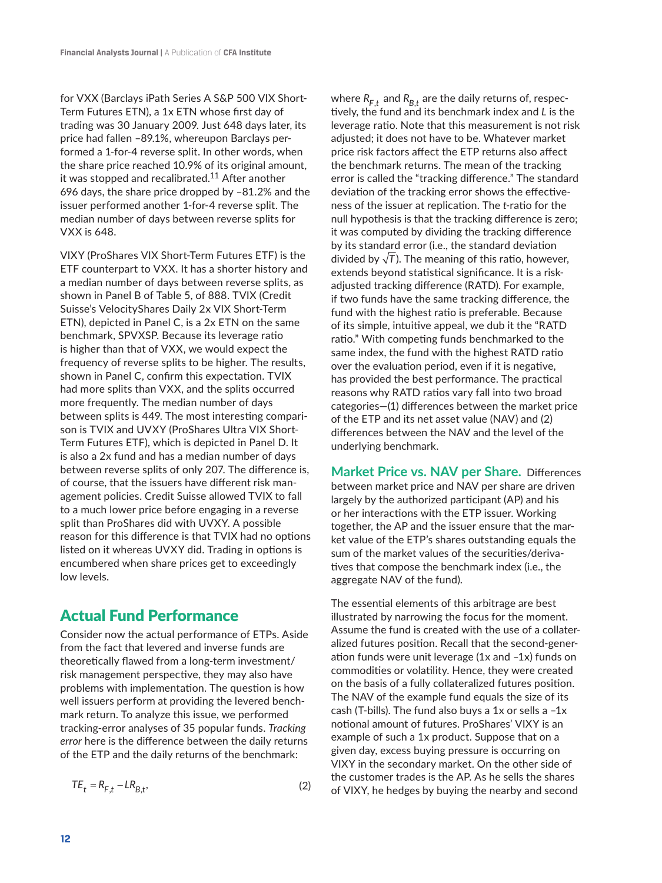for VXX (Barclays iPath Series A S&P 500 VIX Short-Term Futures ETN), a 1x ETN whose first day of trading was 30 January 2009. Just 648 days later, its price had fallen –89.1%, whereupon Barclays performed a 1-for-4 reverse split. In other words, when the share price reached 10.9% of its original amount, it was stopped and recalibrated.<sup>11</sup> After another 696 days, the share price dropped by –81.2% and the issuer performed another 1-for-4 reverse split. The median number of days between reverse splits for VXX is 648.

VIXY (ProShares VIX Short-Term Futures ETF) is the ETF counterpart to VXX. It has a shorter history and a median number of days between reverse splits, as shown in Panel B of Table 5, of 888. TVIX (Credit Suisse's VelocityShares Daily 2x VIX Short-Term ETN), depicted in Panel C, is a 2x ETN on the same benchmark, SPVXSP. Because its leverage ratio is higher than that of VXX, we would expect the frequency of reverse splits to be higher. The results, shown in Panel C, confirm this expectation. TVIX had more splits than VXX, and the splits occurred more frequently. The median number of days between splits is 449. The most interesting comparison is TVIX and UVXY (ProShares Ultra VIX Short-Term Futures ETF), which is depicted in Panel D. It is also a 2x fund and has a median number of days between reverse splits of only 207. The difference is, of course, that the issuers have different risk management policies. Credit Suisse allowed TVIX to fall to a much lower price before engaging in a reverse split than ProShares did with UVXY. A possible reason for this difference is that TVIX had no options listed on it whereas UVXY did. Trading in options is encumbered when share prices get to exceedingly low levels.

# Actual Fund Performance

Consider now the actual performance of ETPs. Aside from the fact that levered and inverse funds are theoretically flawed from a long-term investment/ risk management perspective, they may also have problems with implementation. The question is how well issuers perform at providing the levered benchmark return. To analyze this issue, we performed tracking-error analyses of 35 popular funds. *Tracking error* here is the difference between the daily returns of the ETP and the daily returns of the benchmark:

$$
TE_t = R_{F,t} - LR_{B,t}, \qquad (2)
$$

where  $R_{F,t}$  and  $R_{B,t}$  are the daily returns of, respectively, the fund and its benchmark index and *L* is the leverage ratio. Note that this measurement is not risk adjusted; it does not have to be. Whatever market price risk factors affect the ETP returns also affect the benchmark returns. The mean of the tracking error is called the "tracking difference." The standard deviation of the tracking error shows the effectiveness of the issuer at replication. The *t-*ratio for the null hypothesis is that the tracking difference is zero; it was computed by dividing the tracking difference by its standard error (i.e., the standard deviation divided by  $\sqrt{T}$ ). The meaning of this ratio, however, extends beyond statistical significance. It is a riskadjusted tracking difference (RATD). For example, if two funds have the same tracking difference, the fund with the highest ratio is preferable. Because of its simple, intuitive appeal, we dub it the "RATD ratio." With competing funds benchmarked to the same index, the fund with the highest RATD ratio over the evaluation period, even if it is negative, has provided the best performance. The practical reasons why RATD ratios vary fall into two broad categories—(1) differences between the market price of the ETP and its net asset value (NAV) and (2) differences between the NAV and the level of the underlying benchmark.

**Market Price vs. NAV per Share.** Differences between market price and NAV per share are driven largely by the authorized participant (AP) and his or her interactions with the ETP issuer. Working together, the AP and the issuer ensure that the market value of the ETP's shares outstanding equals the sum of the market values of the securities/derivatives that compose the benchmark index (i.e., the aggregate NAV of the fund).

The essential elements of this arbitrage are best illustrated by narrowing the focus for the moment. Assume the fund is created with the use of a collateralized futures position. Recall that the second-generation funds were unit leverage (1x and *–*1x) funds on commodities or volatility. Hence, they were created on the basis of a fully collateralized futures position. The NAV of the example fund equals the size of its cash (T-bills). The fund also buys a 1x or sells a –1x notional amount of futures. ProShares' VIXY is an example of such a 1x product. Suppose that on a given day, excess buying pressure is occurring on VIXY in the secondary market. On the other side of the customer trades is the AP. As he sells the shares of VIXY, he hedges by buying the nearby and second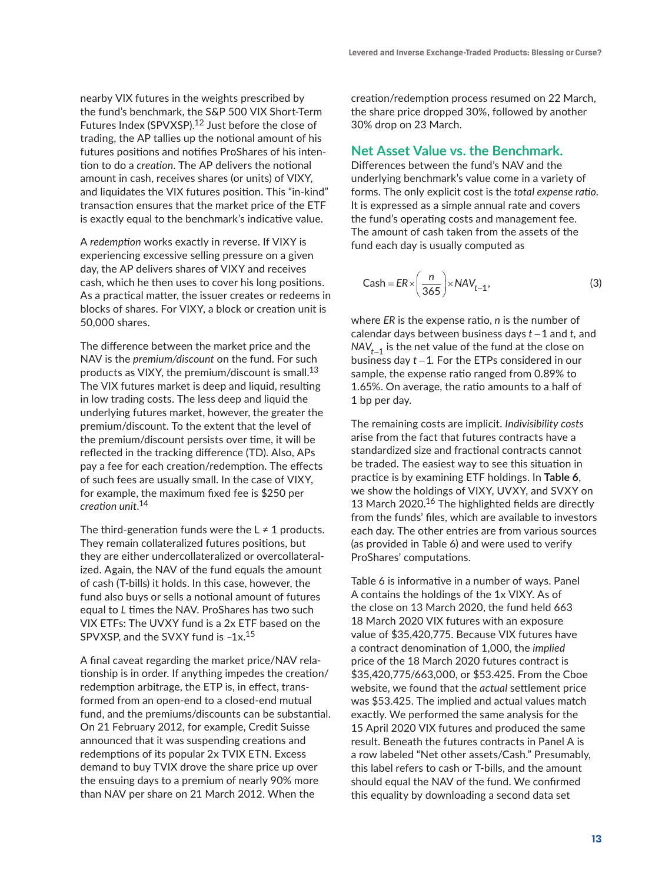nearby VIX futures in the weights prescribed by the fund's benchmark, the S&P 500 VIX Short-Term Futures Index (SPVXSP).<sup>12</sup> Just before the close of trading, the AP tallies up the notional amount of his futures positions and notifies ProShares of his intention to do a *creation*. The AP delivers the notional amount in cash, receives shares (or units) of VIXY, and liquidates the VIX futures position. This "in-kind" transaction ensures that the market price of the ETF is exactly equal to the benchmark's indicative value.

A *redemption* works exactly in reverse. If VIXY is experiencing excessive selling pressure on a given day, the AP delivers shares of VIXY and receives cash, which he then uses to cover his long positions. As a practical matter, the issuer creates or redeems in blocks of shares. For VIXY, a block or creation unit is 50,000 shares.

The difference between the market price and the NAV is the *premium/discount* on the fund. For such products as VIXY, the premium/discount is small.<sup>13</sup> The VIX futures market is deep and liquid, resulting in low trading costs. The less deep and liquid the underlying futures market, however, the greater the premium/discount. To the extent that the level of the premium/discount persists over time, it will be reflected in the tracking difference (TD). Also, APs pay a fee for each creation/redemption. The effects of such fees are usually small. In the case of VIXY, for example, the maximum fixed fee is \$250 per *creation unit*. 14

The third-generation funds were the  $L \neq 1$  products. They remain collateralized futures positions, but they are either undercollateralized or overcollateralized. Again, the NAV of the fund equals the amount of cash (T-bills) it holds. In this case, however, the fund also buys or sells a notional amount of futures equal to *L* times the NAV. ProShares has two such VIX ETFs: The UVXY fund is a 2x ETF based on the SPVXSP, and the SVXY fund is -1x.<sup>15</sup>

A final caveat regarding the market price/NAV relationship is in order. If anything impedes the creation/ redemption arbitrage, the ETP is, in effect, transformed from an open-end to a closed-end mutual fund, and the premiums/discounts can be substantial. On 21 February 2012, for example, Credit Suisse announced that it was suspending creations and redemptions of its popular 2x TVIX ETN. Excess demand to buy TVIX drove the share price up over the ensuing days to a premium of nearly 90% more than NAV per share on 21 March 2012. When the

creation/redemption process resumed on 22 March, the share price dropped 30%, followed by another 30% drop on 23 March.

#### **Net Asset Value vs. the Benchmark.**

Differences between the fund's NAV and the underlying benchmark's value come in a variety of forms. The only explicit cost is the *total expense ratio*. It is expressed as a simple annual rate and covers the fund's operating costs and management fee. The amount of cash taken from the assets of the fund each day is usually computed as

$$
Cash = ER \times \left(\frac{n}{365}\right) \times NAV_{t-1},
$$
\n(3)

where *ER* is the expense ratio, *n* is the number of calendar days between business days *t* −1 and *t,* and *NAV*<sub>t−1</sub> is the net value of the fund at the close on business day *t* −1*.* For the ETPs considered in our sample, the expense ratio ranged from 0.89% to 1.65%. On average, the ratio amounts to a half of 1 bp per day.

The remaining costs are implicit. *Indivisibility costs* arise from the fact that futures contracts have a standardized size and fractional contracts cannot be traded. The easiest way to see this situation in practice is by examining ETF holdings. In **Table 6**, we show the holdings of VIXY, UVXY, and SVXY on 13 March 2020.<sup>16</sup> The highlighted fields are directly from the funds' files, which are available to investors each day. The other entries are from various sources (as provided in Table 6) and were used to verify ProShares' computations.

Table 6 is informative in a number of ways. Panel A contains the holdings of the 1x VIXY. As of the close on 13 March 2020, the fund held 663 18 March 2020 VIX futures with an exposure value of \$35,420,775. Because VIX futures have a contract denomination of 1,000, the *implied* price of the 18 March 2020 futures contract is \$35,420,775/663,000, or \$53.425. From the Cboe website, we found that the *actual* settlement price was \$53.425. The implied and actual values match exactly. We performed the same analysis for the 15 April 2020 VIX futures and produced the same result. Beneath the futures contracts in Panel A is a row labeled "Net other assets/Cash." Presumably, this label refers to cash or T-bills, and the amount should equal the NAV of the fund. We confirmed this equality by downloading a second data set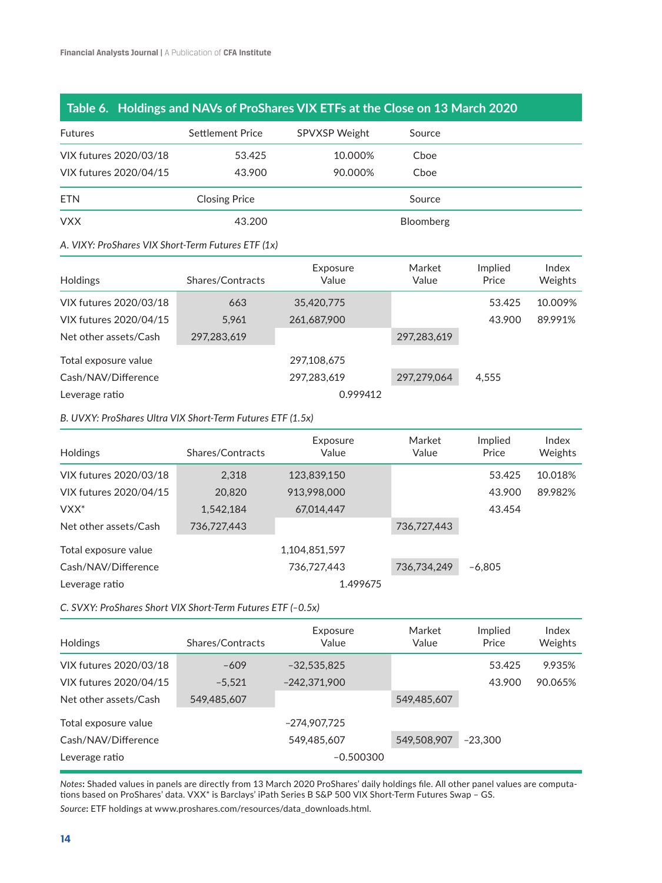## **Table 6. Holdings and NAVs of ProShares VIX ETFs at the Close on 13 March 2020**

| <b>Futures</b>         | Settlement Price     | SPVXSP Weight | Source    |  |
|------------------------|----------------------|---------------|-----------|--|
| VIX futures 2020/03/18 | 53.425               | 10.000%       | Cboe      |  |
| VIX futures 2020/04/15 | 43.900               | 90.000%       | Cboe      |  |
| <b>ETN</b>             | <b>Closing Price</b> |               | Source    |  |
| <b>VXX</b>             | 43.200               |               | Bloomberg |  |

#### *A. VIXY: ProShares VIX Short-Term Futures ETF (1x)*

| <b>Holdings</b>        | Shares/Contracts | Exposure<br>Value | Market<br>Value | Implied<br>Price | Index<br>Weights |
|------------------------|------------------|-------------------|-----------------|------------------|------------------|
| VIX futures 2020/03/18 | 663              | 35,420,775        |                 | 53.425           | 10.009%          |
| VIX futures 2020/04/15 | 5.961            | 261,687,900       |                 | 43.900           | 89.991%          |
| Net other assets/Cash  | 297,283,619      |                   | 297,283,619     |                  |                  |
| Total exposure value   |                  | 297.108.675       |                 |                  |                  |
| Cash/NAV/Difference    |                  | 297.283.619       | 297.279.064     | 4.555            |                  |
| Leverage ratio         |                  | 0.999412          |                 |                  |                  |

#### *B. UVXY: ProShares Ultra VIX Short-Term Futures ETF (1.5x)*

| <b>Holdings</b>        | Shares/Contracts | Exposure<br>Value | Market<br>Value | Implied<br>Price | Index<br>Weights |
|------------------------|------------------|-------------------|-----------------|------------------|------------------|
| VIX futures 2020/03/18 | 2.318            | 123,839,150       |                 | 53.425           | 10.018%          |
| VIX futures 2020/04/15 | 20,820           | 913.998.000       |                 | 43.900           | 89.982%          |
| $VXX^*$                | 1,542,184        | 67,014,447        |                 | 43.454           |                  |
| Net other assets/Cash  | 736,727,443      |                   | 736,727,443     |                  |                  |
| Total exposure value   |                  | 1,104,851,597     |                 |                  |                  |
| Cash/NAV/Difference    |                  | 736,727,443       | 736,734,249     | $-6,805$         |                  |
| Leverage ratio         |                  | 1.499675          |                 |                  |                  |

#### *C. SVXY: ProShares Short VIX Short-Term Futures ETF (–0.5x)*

| <b>Holdings</b>        | Shares/Contracts | Exposure<br>Value | Market<br>Value | Implied<br>Price | Index<br>Weights |
|------------------------|------------------|-------------------|-----------------|------------------|------------------|
| VIX futures 2020/03/18 | $-609$           | $-32,535,825$     |                 | 53.425           | 9.935%           |
| VIX futures 2020/04/15 | $-5.521$         | $-242,371,900$    |                 | 43.900           | 90.065%          |
| Net other assets/Cash  | 549,485,607      |                   | 549,485,607     |                  |                  |
| Total exposure value   |                  | -274.907.725      |                 |                  |                  |
| Cash/NAV/Difference    |                  | 549,485,607       | 549,508,907     | $-23,300$        |                  |
| Leverage ratio         |                  | $-0.500300$       |                 |                  |                  |

*Notes***:** Shaded values in panels are directly from 13 March 2020 ProShares' daily holdings file. All other panel values are computations based on ProShares' data. VXX\* is Barclays' iPath Series B S&P 500 VIX Short-Term Futures Swap – GS.

*Source***:** ETF holdings at [www.proshares.com/resources/data\\_downloads.html](http://www.proshares.com/resources/data_downloads.html).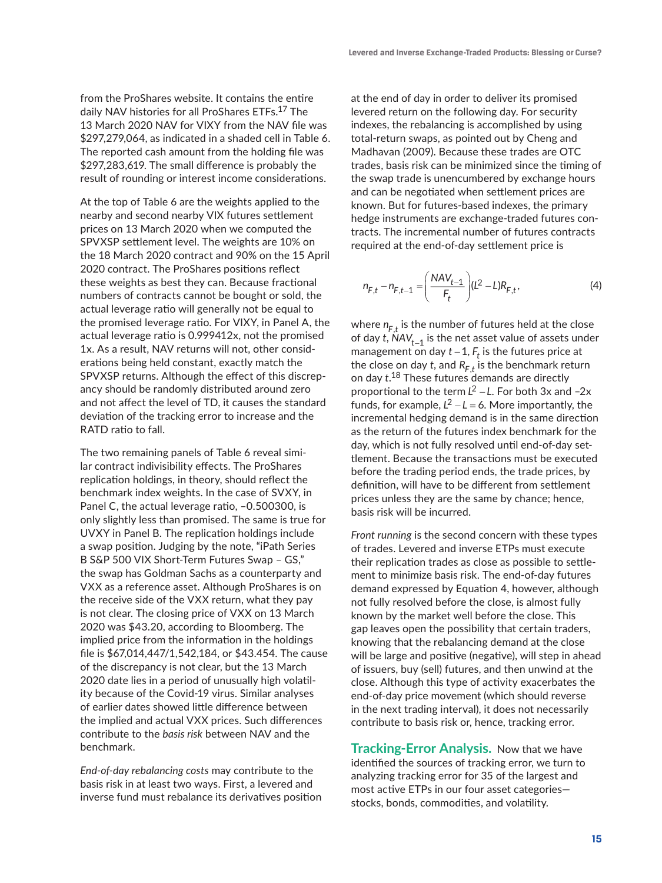from the ProShares website. It contains the entire daily NAV histories for all ProShares ETFs.<sup>17</sup> The 13 March 2020 NAV for VIXY from the NAV file was \$297,279,064, as indicated in a shaded cell in Table 6. The reported cash amount from the holding file was \$297,283,619. The small difference is probably the result of rounding or interest income considerations.

At the top of Table 6 are the weights applied to the nearby and second nearby VIX futures settlement prices on 13 March 2020 when we computed the SPVXSP settlement level. The weights are 10% on the 18 March 2020 contract and 90% on the 15 April 2020 contract. The ProShares positions reflect these weights as best they can. Because fractional numbers of contracts cannot be bought or sold, the actual leverage ratio will generally not be equal to the promised leverage ratio. For VIXY, in Panel A, the actual leverage ratio is 0.999412x, not the promised 1x. As a result, NAV returns will not, other considerations being held constant, exactly match the SPVXSP returns. Although the effect of this discrepancy should be randomly distributed around zero and not affect the level of TD, it causes the standard deviation of the tracking error to increase and the RATD ratio to fall.

The two remaining panels of Table 6 reveal similar contract indivisibility effects. The ProShares replication holdings, in theory, should reflect the benchmark index weights. In the case of SVXY, in Panel C, the actual leverage ratio, –0.500300, is only slightly less than promised. The same is true for UVXY in Panel B. The replication holdings include a swap position. Judging by the note, "iPath Series B S&P 500 VIX Short-Term Futures Swap – GS," the swap has Goldman Sachs as a counterparty and VXX as a reference asset. Although ProShares is on the receive side of the VXX return, what they pay is not clear. The closing price of VXX on 13 March 2020 was \$43.20, according to Bloomberg. The implied price from the information in the holdings file is \$67,014,447/1,542,184, or \$43.454. The cause of the discrepancy is not clear, but the 13 March 2020 date lies in a period of unusually high volatility because of the Covid-19 virus. Similar analyses of earlier dates showed little difference between the implied and actual VXX prices. Such differences contribute to the *basis risk* between NAV and the benchmark.

*End-of-day rebalancing costs* may contribute to the basis risk in at least two ways. First, a levered and inverse fund must rebalance its derivatives position at the end of day in order to deliver its promised levered return on the following day. For security indexes, the rebalancing is accomplished by using total-return swaps, as pointed out by Cheng and Madhavan (2009). Because these trades are OTC trades, basis risk can be minimized since the timing of the swap trade is unencumbered by exchange hours and can be negotiated when settlement prices are known. But for futures-based indexes, the primary hedge instruments are exchange-traded futures contracts. The incremental number of futures contracts required at the end-of-day settlement price is

$$
n_{F,t} - n_{F,t-1} = \left(\frac{NAV_{t-1}}{F_t}\right) (L^2 - L) R_{F,t},
$$
\n(4)

where  $n_{F, t}$  is the number of futures held at the close of day *t*, NAV<sub>t−1</sub> is the net asset value of assets under management on day *t* − 1,  $\textsf{F}_{\textsf{t}}$  is the futures price at the close on day *t*, and  $R_{F,t}$  is the benchmark return on day *t*. 18 These futures demands are directly proportional to the term *L*<sup>2</sup> − *L*. For both 3x and −2x funds, for example,  $L^2 - L = 6$ . More importantly, the incremental hedging demand is in the same direction as the return of the futures index benchmark for the day, which is not fully resolved until end-of-day settlement. Because the transactions must be executed before the trading period ends, the trade prices, by definition, will have to be different from settlement prices unless they are the same by chance; hence, basis risk will be incurred.

*Front running* is the second concern with these types of trades. Levered and inverse ETPs must execute their replication trades as close as possible to settlement to minimize basis risk. The end-of-day futures demand expressed by Equation 4, however, although not fully resolved before the close, is almost fully known by the market well before the close. This gap leaves open the possibility that certain traders, knowing that the rebalancing demand at the close will be large and positive (negative), will step in ahead of issuers, buy (sell) futures, and then unwind at the close. Although this type of activity exacerbates the end-of-day price movement (which should reverse in the next trading interval), it does not necessarily contribute to basis risk or, hence, tracking error.

**Tracking-Error Analysis.** Now that we have identified the sources of tracking error, we turn to analyzing tracking error for 35 of the largest and most active ETPs in our four asset categories stocks, bonds, commodities, and volatility.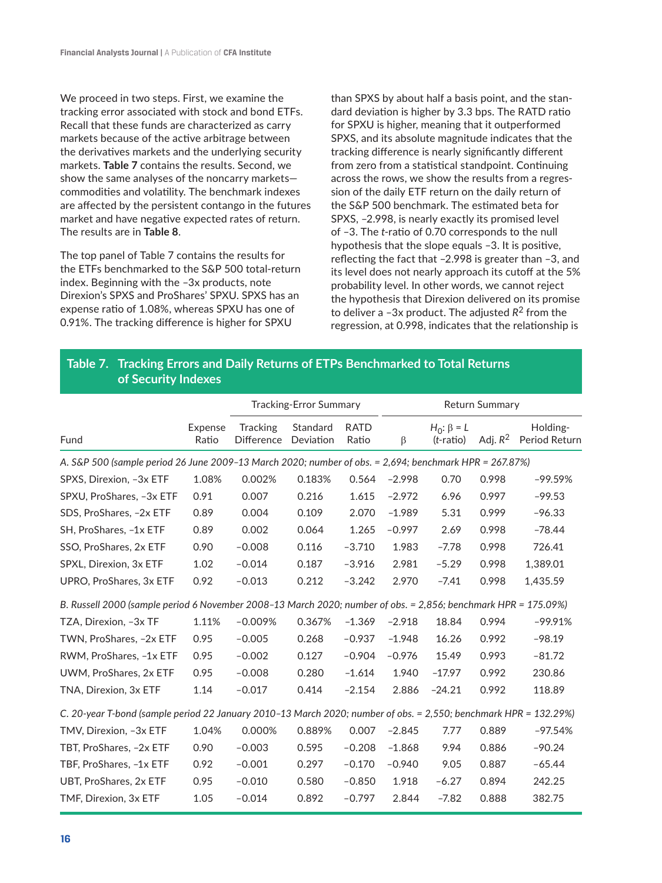We proceed in two steps. First, we examine the tracking error associated with stock and bond ETFs. Recall that these funds are characterized as carry markets because of the active arbitrage between the derivatives markets and the underlying security markets. **Table 7** contains the results. Second, we show the same analyses of the noncarry markets commodities and volatility. The benchmark indexes are affected by the persistent contango in the futures market and have negative expected rates of return. The results are in **Table 8**.

The top panel of Table 7 contains the results for the ETFs benchmarked to the S&P 500 total-return index. Beginning with the –3x products, note Direxion's SPXS and ProShares' SPXU. SPXS has an expense ratio of 1.08%, whereas SPXU has one of 0.91%. The tracking difference is higher for SPXU

than SPXS by about half a basis point, and the standard deviation is higher by 3.3 bps. The RATD ratio for SPXU is higher, meaning that it outperformed SPXS, and its absolute magnitude indicates that the tracking difference is nearly significantly different from zero from a statistical standpoint. Continuing across the rows, we show the results from a regression of the daily ETF return on the daily return of the S&P 500 benchmark. The estimated beta for SPXS, –2.998, is nearly exactly its promised level of –3. The *t*-ratio of 0.70 corresponds to the null hypothesis that the slope equals –3. It is positive, reflecting the fact that –2.998 is greater than –3, and its level does not nearly approach its cutoff at the 5% probability level. In other words, we cannot reject the hypothesis that Direxion delivered on its promise to deliver a  $-3x$  product. The adjusted  $R^2$  from the regression, at 0.998, indicates that the relationship is

## **Table 7. Tracking Errors and Daily Returns of ETPs Benchmarked to Total Returns of Security Indexes**

|                                                                                                                  |                  | <b>Tracking-Error Summary</b>        |                       |                      |          | Return Summary                   |            |                           |  |
|------------------------------------------------------------------------------------------------------------------|------------------|--------------------------------------|-----------------------|----------------------|----------|----------------------------------|------------|---------------------------|--|
| Fund                                                                                                             | Expense<br>Ratio | <b>Tracking</b><br><b>Difference</b> | Standard<br>Deviation | <b>RATD</b><br>Ratio | $\beta$  | $H_0$ : $\beta = L$<br>(t-ratio) | Adj. $R^2$ | Holding-<br>Period Return |  |
| A. S&P 500 (sample period 26 June 2009-13 March 2020; number of obs. = 2,694; benchmark HPR = 267.87%)           |                  |                                      |                       |                      |          |                                  |            |                           |  |
| SPXS, Direxion, -3x ETF                                                                                          | 1.08%            | 0.002%                               | 0.183%                | 0.564                | $-2.998$ | 0.70                             | 0.998      | $-99.59%$                 |  |
| SPXU, ProShares, -3x ETF                                                                                         | 0.91             | 0.007                                | 0.216                 | 1.615                | $-2.972$ | 6.96                             | 0.997      | $-99.53$                  |  |
| SDS, ProShares, -2x ETF                                                                                          | 0.89             | 0.004                                | 0.109                 | 2.070                | $-1.989$ | 5.31                             | 0.999      | $-96.33$                  |  |
| SH, ProShares, -1x ETF                                                                                           | 0.89             | 0.002                                | 0.064                 | 1.265                | $-0.997$ | 2.69                             | 0.998      | $-78.44$                  |  |
| SSO, ProShares, 2x ETF                                                                                           | 0.90             | $-0.008$                             | 0.116                 | $-3.710$             | 1.983    | $-7.78$                          | 0.998      | 726.41                    |  |
| SPXL, Direxion, 3x ETF                                                                                           | 1.02             | $-0.014$                             | 0.187                 | $-3.916$             | 2.981    | $-5.29$                          | 0.998      | 1,389.01                  |  |
| UPRO, ProShares, 3x ETF                                                                                          | 0.92             | $-0.013$                             | 0.212                 | $-3.242$             | 2.970    | $-7.41$                          | 0.998      | 1,435.59                  |  |
| B. Russell 2000 (sample period 6 November 2008-13 March 2020; number of obs. = 2,856; benchmark HPR = 175.09%)   |                  |                                      |                       |                      |          |                                  |            |                           |  |
| TZA, Direxion, -3x TF                                                                                            | 1.11%            | $-0.009%$                            | 0.367%                | $-1.369$             | $-2.918$ | 18.84                            | 0.994      | $-99.91%$                 |  |
| TWN, ProShares, -2x ETF                                                                                          | 0.95             | $-0.005$                             | 0.268                 | $-0.937$             | $-1.948$ | 16.26                            | 0.992      | $-98.19$                  |  |
| RWM, ProShares, -1x ETF                                                                                          | 0.95             | $-0.002$                             | 0.127                 | $-0.904$             | $-0.976$ | 15.49                            | 0.993      | $-81.72$                  |  |
| UWM, ProShares, 2x ETF                                                                                           | 0.95             | $-0.008$                             | 0.280                 | $-1.614$             | 1.940    | $-17.97$                         | 0.992      | 230.86                    |  |
| TNA, Direxion, 3x ETF                                                                                            | 1.14             | $-0.017$                             | 0.414                 | $-2.154$             | 2.886    | $-24.21$                         | 0.992      | 118.89                    |  |
| C. 20-year T-bond (sample period 22 January 2010-13 March 2020; number of obs. = 2,550; benchmark HPR = 132.29%) |                  |                                      |                       |                      |          |                                  |            |                           |  |
| TMV, Direxion, -3x ETF                                                                                           | 1.04%            | 0.000%                               | 0.889%                | 0.007                | $-2.845$ | 7.77                             | 0.889      | $-97.54%$                 |  |
| TBT, ProShares, -2x ETF                                                                                          | 0.90             | $-0.003$                             | 0.595                 | $-0.208$             | $-1.868$ | 9.94                             | 0.886      | $-90.24$                  |  |
| TBF, ProShares, -1x ETF                                                                                          | 0.92             | $-0.001$                             | 0.297                 | $-0.170$             | $-0.940$ | 9.05                             | 0.887      | $-65.44$                  |  |
| UBT, ProShares, 2x ETF                                                                                           | 0.95             | $-0.010$                             | 0.580                 | $-0.850$             | 1.918    | $-6.27$                          | 0.894      | 242.25                    |  |
| TMF, Direxion, 3x ETF                                                                                            | 1.05             | $-0.014$                             | 0.892                 | $-0.797$             | 2.844    | $-7.82$                          | 0.888      | 382.75                    |  |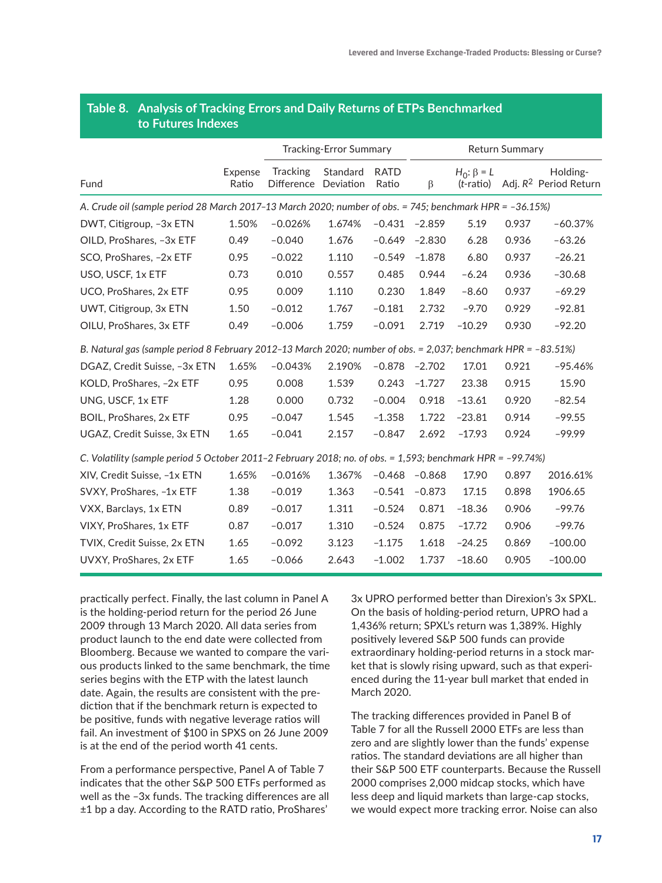|                                                                                                               |                  |                               | <b>Tracking-Error Summary</b> |                      |          | Return Summary                      |       |                                               |  |
|---------------------------------------------------------------------------------------------------------------|------------------|-------------------------------|-------------------------------|----------------------|----------|-------------------------------------|-------|-----------------------------------------------|--|
| Fund                                                                                                          | Expense<br>Ratio | Tracking<br><b>Difference</b> | Standard<br>Deviation         | <b>RATD</b><br>Ratio | $\beta$  | $H_0$ : $\beta = L$<br>$(t$ -ratio) |       | Holding-<br>Adj. R <sup>2</sup> Period Return |  |
| A. Crude oil (sample period 28 March 2017-13 March 2020; number of obs. = 745; benchmark HPR = -36.15%)       |                  |                               |                               |                      |          |                                     |       |                                               |  |
| DWT, Citigroup, -3x ETN                                                                                       | 1.50%            | $-0.026%$                     | 1.674%                        | $-0.431$             | $-2.859$ | 5.19                                | 0.937 | $-60.37%$                                     |  |
| OILD, ProShares, -3x ETF                                                                                      | 0.49             | $-0.040$                      | 1.676                         | $-0.649$             | $-2.830$ | 6.28                                | 0.936 | $-63.26$                                      |  |
| SCO, ProShares, -2x ETF                                                                                       | 0.95             | $-0.022$                      | 1.110                         | $-0.549$             | $-1.878$ | 6.80                                | 0.937 | $-26.21$                                      |  |
| USO, USCF, 1x ETF                                                                                             | 0.73             | 0.010                         | 0.557                         | 0.485                | 0.944    | $-6.24$                             | 0.936 | $-30.68$                                      |  |
| UCO, ProShares, 2x ETF                                                                                        | 0.95             | 0.009                         | 1.110                         | 0.230                | 1.849    | $-8.60$                             | 0.937 | $-69.29$                                      |  |
| UWT, Citigroup, 3x ETN                                                                                        | 1.50             | $-0.012$                      | 1.767                         | $-0.181$             | 2.732    | $-9.70$                             | 0.929 | $-92.81$                                      |  |
| OILU, ProShares, 3x ETF                                                                                       | 0.49             | $-0.006$                      | 1.759                         | $-0.091$             | 2.719    | $-10.29$                            | 0.930 | $-92.20$                                      |  |
| B. Natural gas (sample period 8 February 2012-13 March 2020; number of obs. = 2,037; benchmark HPR = -83.51%) |                  |                               |                               |                      |          |                                     |       |                                               |  |
| DGAZ, Credit Suisse, -3x ETN                                                                                  | 1.65%            | $-0.043%$                     | 2.190%                        | $-0.878$             | $-2.702$ | 17.01                               | 0.921 | $-95.46%$                                     |  |
| KOLD, ProShares, -2x ETF                                                                                      | 0.95             | 0.008                         | 1.539                         | 0.243                | $-1.727$ | 23.38                               | 0.915 | 15.90                                         |  |
| UNG, USCF, 1x ETF                                                                                             | 1.28             | 0.000                         | 0.732                         | $-0.004$             | 0.918    | $-13.61$                            | 0.920 | $-82.54$                                      |  |
| BOIL, ProShares, 2x ETF                                                                                       | 0.95             | $-0.047$                      | 1.545                         | $-1.358$             | 1.722    | $-23.81$                            | 0.914 | $-99.55$                                      |  |
| UGAZ, Credit Suisse, 3x ETN                                                                                   | 1.65             | $-0.041$                      | 2.157                         | $-0.847$             | 2.692    | $-17.93$                            | 0.924 | $-99.99$                                      |  |
| C. Volatility (sample period 5 October 2011-2 February 2018; no. of obs. = 1,593; benchmark HPR = -99.74%)    |                  |                               |                               |                      |          |                                     |       |                                               |  |
| XIV, Credit Suisse, -1x ETN                                                                                   | 1.65%            | $-0.016%$                     | 1.367%                        | $-0.468$             | $-0.868$ | 17.90                               | 0.897 | 2016.61%                                      |  |
| SVXY, ProShares, -1x ETF                                                                                      | 1.38             | $-0.019$                      | 1.363                         | $-0.541$             | $-0.873$ | 17.15                               | 0.898 | 1906.65                                       |  |
| VXX, Barclays, 1x ETN                                                                                         | 0.89             | $-0.017$                      | 1.311                         | $-0.524$             | 0.871    | $-18.36$                            | 0.906 | $-99.76$                                      |  |
| VIXY, ProShares, 1x ETF                                                                                       | 0.87             | $-0.017$                      | 1.310                         | $-0.524$             | 0.875    | $-17.72$                            | 0.906 | $-99.76$                                      |  |
| TVIX, Credit Suisse, 2x ETN                                                                                   | 1.65             | $-0.092$                      | 3.123                         | $-1.175$             | 1.618    | $-24.25$                            | 0.869 | $-100.00$                                     |  |
| UVXY, ProShares, 2x ETF                                                                                       | 1.65             | $-0.066$                      | 2.643                         | $-1.002$             | 1.737    | $-18.60$                            | 0.905 | $-100.00$                                     |  |

#### **Table 8. Analysis of Tracking Errors and Daily Returns of ETPs Benchmarked to Futures Indexes**

practically perfect. Finally, the last column in Panel A is the holding-period return for the period 26 June 2009 through 13 March 2020. All data series from product launch to the end date were collected from Bloomberg. Because we wanted to compare the various products linked to the same benchmark, the time series begins with the ETP with the latest launch date. Again, the results are consistent with the prediction that if the benchmark return is expected to be positive, funds with negative leverage ratios will fail. An investment of \$100 in SPXS on 26 June 2009 is at the end of the period worth 41 cents.

From a performance perspective, Panel A of Table 7 indicates that the other S&P 500 ETFs performed as well as the –3x funds. The tracking differences are all ±1 bp a day. According to the RATD ratio, ProShares' 3x UPRO performed better than Direxion's 3x SPXL. On the basis of holding-period return, UPRO had a 1,436% return; SPXL's return was 1,389%. Highly positively levered S&P 500 funds can provide extraordinary holding-period returns in a stock market that is slowly rising upward, such as that experienced during the 11-year bull market that ended in March 2020.

The tracking differences provided in Panel B of Table 7 for all the Russell 2000 ETFs are less than zero and are slightly lower than the funds' expense ratios. The standard deviations are all higher than their S&P 500 ETF counterparts. Because the Russell 2000 comprises 2,000 midcap stocks, which have less deep and liquid markets than large-cap stocks, we would expect more tracking error. Noise can also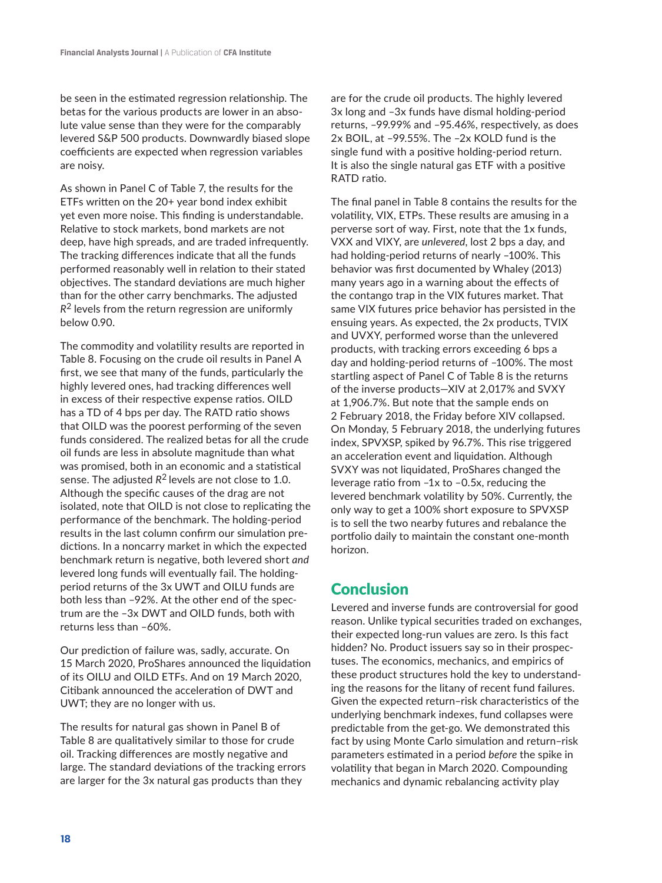be seen in the estimated regression relationship. The betas for the various products are lower in an absolute value sense than they were for the comparably levered S&P 500 products. Downwardly biased slope coefficients are expected when regression variables are noisy.

As shown in Panel C of Table 7, the results for the ETFs written on the 20+ year bond index exhibit yet even more noise. This finding is understandable. Relative to stock markets, bond markets are not deep, have high spreads, and are traded infrequently. The tracking differences indicate that all the funds performed reasonably well in relation to their stated objectives. The standard deviations are much higher than for the other carry benchmarks. The adjusted *R*2 levels from the return regression are uniformly below 0.90.

The commodity and volatility results are reported in Table 8. Focusing on the crude oil results in Panel A first, we see that many of the funds, particularly the highly levered ones, had tracking differences well in excess of their respective expense ratios. OILD has a TD of 4 bps per day. The RATD ratio shows that OILD was the poorest performing of the seven funds considered. The realized betas for all the crude oil funds are less in absolute magnitude than what was promised, both in an economic and a statistical sense. The adjusted  $R^2$  levels are not close to 1.0. Although the specific causes of the drag are not isolated, note that OILD is not close to replicating the performance of the benchmark. The holding-period results in the last column confirm our simulation predictions. In a noncarry market in which the expected benchmark return is negative, both levered short *and* levered long funds will eventually fail. The holdingperiod returns of the 3x UWT and OILU funds are both less than –92%. At the other end of the spectrum are the –3x DWT and OILD funds, both with returns less than –60%.

Our prediction of failure was, sadly, accurate. On 15 March 2020, ProShares announced the liquidation of its OILU and OILD ETFs. And on 19 March 2020, Citibank announced the acceleration of DWT and UWT; they are no longer with us.

The results for natural gas shown in Panel B of Table 8 are qualitatively similar to those for crude oil. Tracking differences are mostly negative and large. The standard deviations of the tracking errors are larger for the 3x natural gas products than they

are for the crude oil products. The highly levered 3x long and –3x funds have dismal holding-period returns, –99.99% and –95.46%, respectively, as does 2x BOIL, at –99.55%. The –2x KOLD fund is the single fund with a positive holding-period return. It is also the single natural gas ETF with a positive RATD ratio.

The final panel in Table 8 contains the results for the volatility, VIX, ETPs. These results are amusing in a perverse sort of way. First, note that the 1x funds, VXX and VIXY, are *unlevered*, lost 2 bps a day, and had holding-period returns of nearly –100%. This behavior was first documented by Whaley (2013) many years ago in a warning about the effects of the contango trap in the VIX futures market. That same VIX futures price behavior has persisted in the ensuing years. As expected, the 2x products, TVIX and UVXY, performed worse than the unlevered products, with tracking errors exceeding 6 bps a day and holding-period returns of –100%. The most startling aspect of Panel C of Table 8 is the returns of the inverse products—XIV at 2,017% and SVXY at 1,906.7%. But note that the sample ends on 2 February 2018, the Friday before XIV collapsed. On Monday, 5 February 2018, the underlying futures index, SPVXSP, spiked by 96.7%. This rise triggered an acceleration event and liquidation. Although SVXY was not liquidated, ProShares changed the leverage ratio from –1x to –0.5x, reducing the levered benchmark volatility by 50%. Currently, the only way to get a 100% short exposure to SPVXSP is to sell the two nearby futures and rebalance the portfolio daily to maintain the constant one-month horizon.

# Conclusion

Levered and inverse funds are controversial for good reason. Unlike typical securities traded on exchanges, their expected long-run values are zero. Is this fact hidden? No. Product issuers say so in their prospectuses. The economics, mechanics, and empirics of these product structures hold the key to understanding the reasons for the litany of recent fund failures. Given the expected return–risk characteristics of the underlying benchmark indexes, fund collapses were predictable from the get-go. We demonstrated this fact by using Monte Carlo simulation and return–risk parameters estimated in a period *before* the spike in volatility that began in March 2020. Compounding mechanics and dynamic rebalancing activity play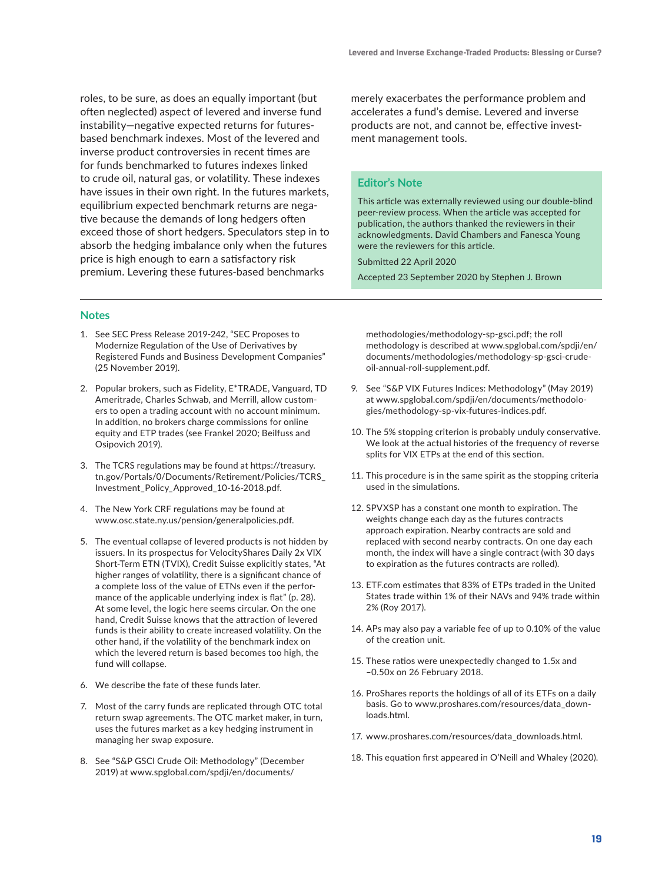roles, to be sure, as does an equally important (but often neglected) aspect of levered and inverse fund instability—negative expected returns for futuresbased benchmark indexes. Most of the levered and inverse product controversies in recent times are for funds benchmarked to futures indexes linked to crude oil, natural gas, or volatility. These indexes have issues in their own right. In the futures markets, equilibrium expected benchmark returns are negative because the demands of long hedgers often exceed those of short hedgers. Speculators step in to absorb the hedging imbalance only when the futures price is high enough to earn a satisfactory risk premium. Levering these futures-based benchmarks

merely exacerbates the performance problem and accelerates a fund's demise. Levered and inverse products are not, and cannot be, effective investment management tools.

#### **Editor's Note**

This article was externally reviewed using our double-blind peer-review process. When the article was accepted for publication, the authors thanked the reviewers in their acknowledgments. David Chambers and Fanesca Young were the reviewers for this article.

Submitted 22 April 2020

Accepted 23 September 2020 by Stephen J. Brown

#### **Notes**

- 1. See SEC Press Release 2019-242, "SEC Proposes to Modernize Regulation of the Use of Derivatives by Registered Funds and Business Development Companies" (25 November 2019).
- 2. Popular brokers, such as Fidelity, E\*TRADE, Vanguard, TD Ameritrade, Charles Schwab, and Merrill, allow customers to open a trading account with no account minimum. In addition, no brokers charge commissions for online equity and ETP trades (see Frankel 2020; Beilfuss and Osipovich 2019).
- 3. The TCRS regulations may be found at [https://treasury.](https://treasury.tn.gov/Portals/0/Documents/Retirement/Policies/TCRS_Investment_Policy_Approved_10-16-2018.pdf) [tn.gov/Portals/0/Documents/Retirement/Policies/TCRS\\_](https://treasury.tn.gov/Portals/0/Documents/Retirement/Policies/TCRS_Investment_Policy_Approved_10-16-2018.pdf) [Investment\\_Policy\\_Approved\\_10-16-2018.pdf.](https://treasury.tn.gov/Portals/0/Documents/Retirement/Policies/TCRS_Investment_Policy_Approved_10-16-2018.pdf)
- 4. The New York CRF regulations may be found at [www.osc.state.ny.us/pension/generalpolicies.pdf.](http://www.osc.state.ny.us/pension/generalpolicies.pdf)
- 5. The eventual collapse of levered products is not hidden by issuers. In its prospectus for VelocityShares Daily 2x VIX Short-Term ETN (TVIX), Credit Suisse explicitly states, "At higher ranges of volatility, there is a significant chance of a complete loss of the value of ETNs even if the performance of the applicable underlying index is flat" (p. 28). At some level, the logic here seems circular. On the one hand, Credit Suisse knows that the attraction of levered funds is their ability to create increased volatility. On the other hand, if the volatility of the benchmark index on which the levered return is based becomes too high, the fund will collapse.
- 6. We describe the fate of these funds later.
- 7. Most of the carry funds are replicated through OTC total return swap agreements. The OTC market maker, in turn, uses the futures market as a key hedging instrument in managing her swap exposure.
- 8. See "S&P GSCI Crude Oil: Methodology" (December 2019) at [www.spglobal.com/spdji/en/documents/](http://www.spglobal.com/spdji/en/documents/methodologies/methodology-sp-gsci.pdf)

[methodologies/methodology-sp-gsci.pdf](http://www.spglobal.com/spdji/en/documents/methodologies/methodology-sp-gsci.pdf); the roll methodology is described at [www.spglobal.com/spdji/en/](http://www.spglobal.com/spdji/en/documents/methodologies/methodology-sp-gsci-crude-oil-annual-roll-supplement.pdf) [documents/methodologies/methodology-sp-gsci-crude](http://www.spglobal.com/spdji/en/documents/methodologies/methodology-sp-gsci-crude-oil-annual-roll-supplement.pdf)[oil-annual-roll-supplement.pdf.](http://www.spglobal.com/spdji/en/documents/methodologies/methodology-sp-gsci-crude-oil-annual-roll-supplement.pdf)

- 9. See "S&P VIX Futures Indices: Methodology" (May 2019) at [www.spglobal.com/spdji/en/documents/methodolo](http://www.spglobal.com/spdji/en/documents/methodologies/methodology-sp-vix-futures-indices.pdf)[gies/methodology-sp-vix-futures-indices.pdf.](http://www.spglobal.com/spdji/en/documents/methodologies/methodology-sp-vix-futures-indices.pdf)
- 10. The 5% stopping criterion is probably unduly conservative. We look at the actual histories of the frequency of reverse splits for VIX ETPs at the end of this section.
- 11. This procedure is in the same spirit as the stopping criteria used in the simulations.
- 12. SPVXSP has a constant one month to expiration. The weights change each day as the futures contracts approach expiration. Nearby contracts are sold and replaced with second nearby contracts. On one day each month, the index will have a single contract (with 30 days to expiration as the futures contracts are rolled).
- 13. ETF.com estimates that 83% of ETPs traded in the United States trade within 1% of their NAVs and 94% trade within 2% (Roy 2017).
- 14. APs may also pay a variable fee of up to 0.10% of the value of the creation unit.
- 15. These ratios were unexpectedly changed to 1.5x and –0.50x on 26 February 2018.
- 16. ProShares reports the holdings of all of its ETFs on a daily basis. Go to [www.proshares.com/resources/data\\_down](http://www.proshares.com/resources/data_downloads.html)[loads.html.](http://www.proshares.com/resources/data_downloads.html)
- 17. [www.proshares.com/resources/data\\_downloads.html.](http://www.proshares.com/resources/data_downloads.html)
- 18. This equation first appeared in O'Neill and Whaley (2020).